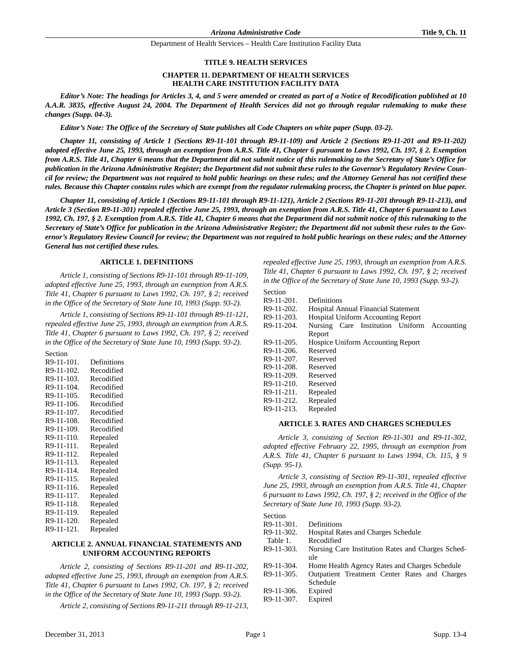#### **TITLE 9. HEALTH SERVICES**

#### **CHAPTER 11. DEPARTMENT OF HEALTH SERVICES HEALTH CARE INSTITUTION FACILITY DATA**

*Editor's Note: The headings for Articles 3, 4, and 5 were amended or created as part of a Notice of Recodification published at 10 A.A.R. 3835, effective August 24, 2004. The Department of Health Services did not go through regular rulemaking to make these changes (Supp. 04-3).*

*Editor's Note: The Office of the Secretary of State publishes all Code Chapters on white paper (Supp. 03-2).*

*Chapter 11, consisting of Article 1 (Sections R9-11-101 through R9-11-109) and Article 2 (Sections R9-11-201 and R9-11-202) adopted effective June 25, 1993, through an exemption from A.R.S. Title 41, Chapter 6 pursuant to Laws 1992, Ch. 197, § 2. Exemption from A.R.S. Title 41, Chapter 6 means that the Department did not submit notice of this rulemaking to the Secretary of State's Office for publication in the Arizona Administrative Register; the Department did not submit these rules to the Governor's Regulatory Review Council for review; the Department was not required to hold public hearings on these rules; and the Attorney General has not certified these rules. Because this Chapter contains rules which are exempt from the regulator rulemaking process, the Chapter is printed on blue paper.*

*Chapter 11, consisting of Article 1 (Sections R9-11-101 through R9-11-121), Article 2 (Sections R9-11-201 through R9-11-213), and Article 3 (Section R9-11-301) repealed effective June 25, 1993, through an exemption from A.R.S. Title 41, Chapter 6 pursuant to Laws 1992, Ch. 197, § 2. Exemption from A.R.S. Title 41, Chapter 6 means that the Department did not submit notice of this rulemaking to the Secretary of State's Office for publication in the Arizona Administrative Register; the Department did not submit these rules to the Governor's Regulatory Review Council for review; the Department was not required to hold public hearings on these rules; and the Attorney General has not certified these rules.*

#### **ARTICLE 1. DEFINITIONS**

*Article 1, consisting of Sections R9-11-101 through R9-11-109, adopted effective June 25, 1993, through an exemption from A.R.S. Title 41, Chapter 6 pursuant to Laws 1992, Ch. 197, § 2; received in the Office of the Secretary of State June 10, 1993 (Supp. 93-2).*

*Article 1, consisting of Sections R9-11-101 through R9-11-121, repealed effective June 25, 1993, through an exemption from A.R.S. Title 41, Chapter 6 pursuant to Laws 1992, Ch. 197, § 2; received in the Office of the Secretary of State June 10, 1993 (Supp. 93-2).*

| Section    |             |
|------------|-------------|
| R9-11-101. | Definitions |
| R9-11-102. | Recodified  |
| R9-11-103. | Recodified  |
| R9-11-104. | Recodified  |
| R9-11-105. | Recodified  |
| R9-11-106. | Recodified  |
| R9-11-107. | Recodified  |
| R9-11-108. | Recodified  |
| R9-11-109. | Recodified  |
| R9-11-110. | Repealed    |
| R9-11-111. | Repealed    |
| R9-11-112. | Repealed    |
| R9-11-113. | Repealed    |
| R9-11-114. | Repealed    |
| R9-11-115. | Repealed    |
| R9-11-116. | Repealed    |
| R9-11-117. | Repealed    |
| R9-11-118. | Repealed    |
| R9-11-119. | Repealed    |
| R9-11-120. | Repealed    |
| R9-11-121. | Repealed    |

#### **ARTICLE 2. ANNUAL FINANCIAL STATEMENTS AND UNIFORM ACCOUNTING REPORTS**

*Article 2, consisting of Sections R9-11-201 and R9-11-202, adopted effective June 25, 1993, through an exemption from A.R.S. Title 41, Chapter 6 pursuant to Laws 1992, Ch. 197, § 2; received in the Office of the Secretary of State June 10, 1993 (Supp. 93-2).*

*Article 2, consisting of Sections R9-11-211 through R9-11-213,*

*repealed effective June 25, 1993, through an exemption from A.R.S. Title 41, Chapter 6 pursuant to Laws 1992, Ch. 197, § 2; received in the Office of the Secretary of State June 10, 1993 (Supp. 93-2).*

| Section       |                                                |
|---------------|------------------------------------------------|
| R9-11-201.    | Definitions                                    |
| R9-11-202.    | <b>Hospital Annual Financial Statement</b>     |
| R9-11-203.    | <b>Hospital Uniform Accounting Report</b>      |
| R9-11-204.    | Nursing Care Institution Uniform<br>Accounting |
|               | Report                                         |
| R9-11-205.    | Hospice Uniform Accounting Report              |
| R9-11-206.    | Reserved                                       |
| $R9-11-207$ . | Reserved                                       |
| $R9-11-208.$  | Reserved                                       |
| $R9-11-209.$  | Reserved                                       |
| $R9-11-210.$  | Reserved                                       |
| R9-11-211.    | Repealed                                       |
| R9-11-212.    | Repealed                                       |
| $R9-11-213.$  | Repealed                                       |
|               |                                                |

## **ARTICLE 3. RATES AND CHARGES SCHEDULES**

*Article 3, consisting of Section R9-11-301 and R9-11-302, adopted effective February 22, 1995, through an exemption from A.R.S. Title 41, Chapter 6 pursuant to Laws 1994, Ch. 115, § 9 (Supp. 95-1).*

*Article 3, consisting of Section R9-11-301, repealed effective June 25, 1993, through an exemption from A.R.S. Title 41, Chapter 6 pursuant to Laws 1992, Ch. 197, § 2; received in the Office of the Secretary of State June 10, 1993 (Supp. 93-2).*

Section

| R9-11-301.   | Definitions                                       |
|--------------|---------------------------------------------------|
| R9-11-302.   | <b>Hospital Rates and Charges Schedule</b>        |
| Table 1.     | Recodified                                        |
| $R9-11-303.$ | Nursing Care Institution Rates and Charges Sched- |
|              | ule                                               |
| R9-11-304.   | Home Health Agency Rates and Charges Schedule     |
| $R9-11-305.$ | Outpatient Treatment Center Rates and Charges     |
|              | Schedule                                          |
| R9-11-306.   | Expired                                           |
| R9-11-307.   | Expired                                           |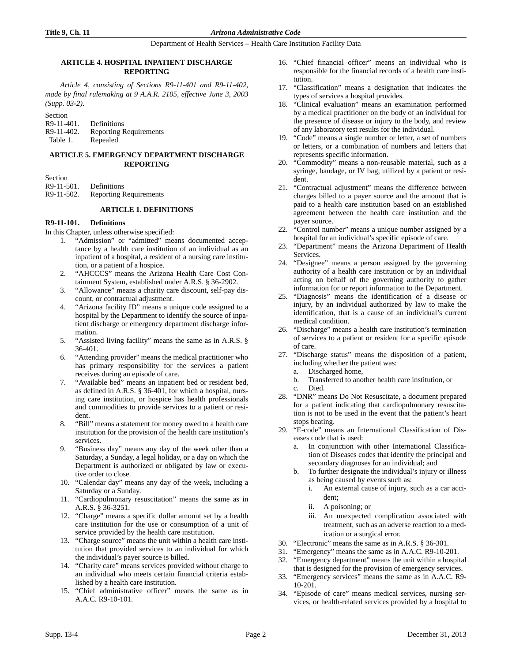# **ARTICLE 4. HOSPITAL INPATIENT DISCHARGE REPORTING**

*Article 4, consisting of Sections R9-11-401 and R9-11-402, made by final rulemaking at 9 A.A.R. 2105, effective June 3, 2003 (Supp. 03-2).*

| Section    |                               |
|------------|-------------------------------|
| R9-11-401. | Definitions                   |
| R9-11-402. | <b>Reporting Requirements</b> |
| Table 1.   | Repealed                      |

# **ARTICLE 5. EMERGENCY DEPARTMENT DISCHARGE REPORTING**

Section

- R9-11-501. Definitions
- R9-11-502. Reporting Requirements

# **ARTICLE 1. DEFINITIONS**

# **R9-11-101. Definitions**

- In this Chapter, unless otherwise specified:
	- 1. "Admission" or "admitted" means documented acceptance by a health care institution of an individual as an inpatient of a hospital, a resident of a nursing care institution, or a patient of a hospice.
	- 2. "AHCCCS" means the Arizona Health Care Cost Containment System, established under A.R.S. § 36-2902.
	- 3. "Allowance" means a charity care discount, self-pay discount, or contractual adjustment.
	- 4. "Arizona facility ID" means a unique code assigned to a hospital by the Department to identify the source of inpatient discharge or emergency department discharge information.
	- 5. "Assisted living facility" means the same as in A.R.S. § 36-401.
	- 6. "Attending provider" means the medical practitioner who has primary responsibility for the services a patient receives during an episode of care.
	- 7. "Available bed" means an inpatient bed or resident bed, as defined in A.R.S. § 36-401, for which a hospital, nursing care institution, or hospice has health professionals and commodities to provide services to a patient or resident.
	- 8. "Bill" means a statement for money owed to a health care institution for the provision of the health care institution's services.
	- 9. "Business day" means any day of the week other than a Saturday, a Sunday, a legal holiday, or a day on which the Department is authorized or obligated by law or executive order to close.
	- 10. "Calendar day" means any day of the week, including a Saturday or a Sunday.
	- 11. "Cardiopulmonary resuscitation" means the same as in A.R.S. § 36-3251.
	- 12. "Charge" means a specific dollar amount set by a health care institution for the use or consumption of a unit of service provided by the health care institution.
	- 13. "Charge source" means the unit within a health care institution that provided services to an individual for which the individual's payer source is billed.
	- 14. "Charity care" means services provided without charge to an individual who meets certain financial criteria established by a health care institution.
	- 15. "Chief administrative officer" means the same as in A.A.C. R9-10-101.
- 16. "Chief financial officer" means an individual who is responsible for the financial records of a health care institution.
- 17. "Classification" means a designation that indicates the types of services a hospital provides.
- 18. "Clinical evaluation" means an examination performed by a medical practitioner on the body of an individual for the presence of disease or injury to the body, and review of any laboratory test results for the individual.
- 19. "Code" means a single number or letter, a set of numbers or letters, or a combination of numbers and letters that represents specific information.
- 20. "Commodity" means a non-reusable material, such as a syringe, bandage, or IV bag, utilized by a patient or resident.
- 21. "Contractual adjustment" means the difference between charges billed to a payer source and the amount that is paid to a health care institution based on an established agreement between the health care institution and the payer source.
- 22. "Control number" means a unique number assigned by a hospital for an individual's specific episode of care.
- 23. "Department" means the Arizona Department of Health Services.
- 24. "Designee" means a person assigned by the governing authority of a health care institution or by an individual acting on behalf of the governing authority to gather information for or report information to the Department.
- 25. "Diagnosis" means the identification of a disease or injury, by an individual authorized by law to make the identification, that is a cause of an individual's current medical condition.
- 26. "Discharge" means a health care institution's termination of services to a patient or resident for a specific episode of care.
- 27. "Discharge status" means the disposition of a patient, including whether the patient was:
	- a. Discharged home,
	- b. Transferred to another health care institution, or c. Died.
- 28. "DNR" means Do Not Resuscitate, a document prepared for a patient indicating that cardiopulmonary resuscitation is not to be used in the event that the patient's heart stops beating.
- 29. "E-code" means an International Classification of Diseases code that is used:
	- a. In conjunction with other International Classification of Diseases codes that identify the principal and secondary diagnoses for an individual; and
	- b. To further designate the individual's injury or illness as being caused by events such as:
		- i. An external cause of injury, such as a car accident;
		- ii. A poisoning; or
		- iii. An unexpected complication associated with treatment, such as an adverse reaction to a medication or a surgical error.
- 30. "Electronic" means the same as in A.R.S. § 36-301.
- 31. "Emergency" means the same as in A.A.C. R9-10-201.
- 32. "Emergency department" means the unit within a hospital that is designed for the provision of emergency services.
- 33. "Emergency services" means the same as in A.A.C. R9- 10-201.
- 34. "Episode of care" means medical services, nursing services, or health-related services provided by a hospital to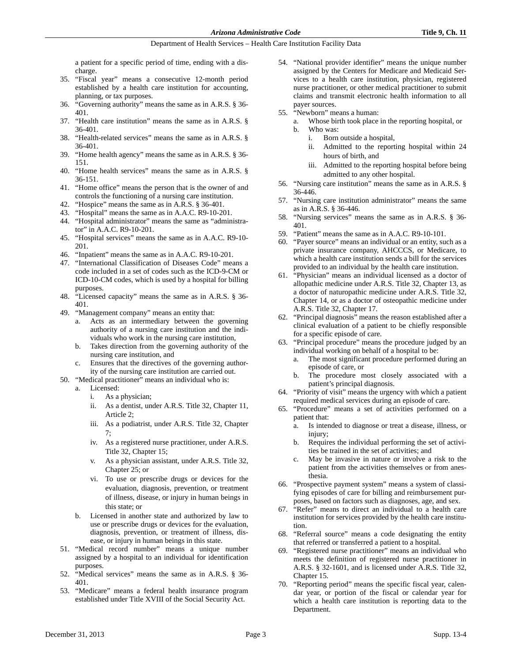a patient for a specific period of time, ending with a discharge.

- 35. "Fiscal year" means a consecutive 12-month period established by a health care institution for accounting, planning, or tax purposes.
- 36. "Governing authority" means the same as in A.R.S. § 36- 401.
- 37. "Health care institution" means the same as in A.R.S. § 36-401.
- 38. "Health-related services" means the same as in A.R.S. § 36-401.
- 39. "Home health agency" means the same as in A.R.S. § 36- 151.
- 40. "Home health services" means the same as in A.R.S. § 36-151.
- 41. "Home office" means the person that is the owner of and controls the functioning of a nursing care institution.
- 42. "Hospice" means the same as in A.R.S. § 36-401.
- 43. "Hospital" means the same as in A.A.C. R9-10-201.
- 44. "Hospital administrator" means the same as "administrator" in A.A.C. R9-10-201.
- 45. "Hospital services" means the same as in A.A.C. R9-10- 201.
- 46. "Inpatient" means the same as in A.A.C. R9-10-201.
- 47. "International Classification of Diseases Code" means a code included in a set of codes such as the ICD-9-CM or ICD-10-CM codes, which is used by a hospital for billing purposes.
- 48. "Licensed capacity" means the same as in A.R.S. § 36- 401.
- 49. "Management company" means an entity that:
	- a. Acts as an intermediary between the governing authority of a nursing care institution and the individuals who work in the nursing care institution,
	- b. Takes direction from the governing authority of the nursing care institution, and
	- Ensures that the directives of the governing authority of the nursing care institution are carried out.
- 50. "Medical practitioner" means an individual who is:
	- a. Licensed:
		- i. As a physician;
		- ii. As a dentist, under A.R.S. Title 32, Chapter 11, Article 2;
		- iii. As a podiatrist, under A.R.S. Title 32, Chapter 7;
		- iv. As a registered nurse practitioner, under A.R.S. Title 32, Chapter 15;
		- v. As a physician assistant, under A.R.S. Title 32, Chapter 25; or
		- vi. To use or prescribe drugs or devices for the evaluation, diagnosis, prevention, or treatment of illness, disease, or injury in human beings in this state; or
	- b. Licensed in another state and authorized by law to use or prescribe drugs or devices for the evaluation, diagnosis, prevention, or treatment of illness, disease, or injury in human beings in this state.
- 51. "Medical record number" means a unique number assigned by a hospital to an individual for identification purposes.
- 52. "Medical services" means the same as in A.R.S. § 36- 401.
- 53. "Medicare" means a federal health insurance program established under Title XVIII of the Social Security Act.
- 54. "National provider identifier" means the unique number assigned by the Centers for Medicare and Medicaid Services to a health care institution, physician, registered nurse practitioner, or other medical practitioner to submit claims and transmit electronic health information to all payer sources.
- 55. "Newborn" means a human:
	- a. Whose birth took place in the reporting hospital, or b. Who was:
		- i. Born outside a hospital,
		- ii. Admitted to the reporting hospital within 24 hours of birth, and
		- iii. Admitted to the reporting hospital before being admitted to any other hospital.
- 56. "Nursing care institution" means the same as in A.R.S. § 36-446.
- 57. "Nursing care institution administrator" means the same as in A.R.S. § 36-446.
- 58. "Nursing services" means the same as in A.R.S. § 36- 401.
- 59. "Patient" means the same as in A.A.C. R9-10-101.
- 60. "Payer source" means an individual or an entity, such as a private insurance company, AHCCCS, or Medicare, to which a health care institution sends a bill for the services provided to an individual by the health care institution.
- 61. "Physician" means an individual licensed as a doctor of allopathic medicine under A.R.S. Title 32, Chapter 13, as a doctor of naturopathic medicine under A.R.S. Title 32, Chapter 14, or as a doctor of osteopathic medicine under A.R.S. Title 32, Chapter 17.
- 62. "Principal diagnosis" means the reason established after a clinical evaluation of a patient to be chiefly responsible for a specific episode of care.
- 63. "Principal procedure" means the procedure judged by an individual working on behalf of a hospital to be:
	- a. The most significant procedure performed during an episode of care, or
	- b. The procedure most closely associated with a patient's principal diagnosis.
- 64. "Priority of visit" means the urgency with which a patient required medical services during an episode of care.
- 65. "Procedure" means a set of activities performed on a patient that:
	- a. Is intended to diagnose or treat a disease, illness, or injury;
	- b. Requires the individual performing the set of activities be trained in the set of activities; and
	- c. May be invasive in nature or involve a risk to the patient from the activities themselves or from anesthesia.
- 66. "Prospective payment system" means a system of classifying episodes of care for billing and reimbursement purposes, based on factors such as diagnoses, age, and sex.
- 67. "Refer" means to direct an individual to a health care institution for services provided by the health care institution.
- 68. "Referral source" means a code designating the entity that referred or transferred a patient to a hospital.
- 69. "Registered nurse practitioner" means an individual who meets the definition of registered nurse practitioner in A.R.S. § 32-1601, and is licensed under A.R.S. Title 32, Chapter 15.
- 70. "Reporting period" means the specific fiscal year, calendar year, or portion of the fiscal or calendar year for which a health care institution is reporting data to the Department.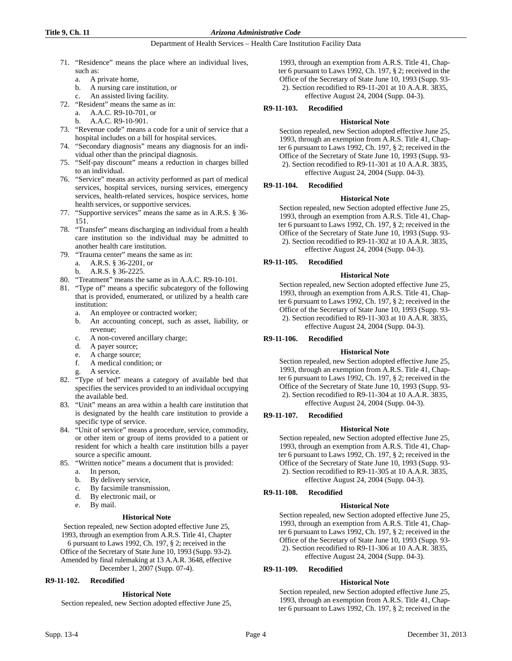#### **Title 9, Ch. 11** *Arizona Administrative Code*

## Department of Health Services – Health Care Institution Facility Data

- 71. "Residence" means the place where an individual lives, such as:
	- a. A private home,
	- b. A nursing care institution, or
	- An assisted living facility.
- 72. "Resident" means the same as in:
	- a. A.A.C. R9-10-701, or
	- b. A.A.C. R9-10-901.
- 73. "Revenue code" means a code for a unit of service that a hospital includes on a bill for hospital services.
- 74. "Secondary diagnosis" means any diagnosis for an individual other than the principal diagnosis.
- 75. "Self-pay discount" means a reduction in charges billed to an individual.
- 76. "Service" means an activity performed as part of medical services, hospital services, nursing services, emergency services, health-related services, hospice services, home health services, or supportive services.
- 77. "Supportive services" means the same as in A.R.S. § 36- 151.
- 78. "Transfer" means discharging an individual from a health care institution so the individual may be admitted to another health care institution.
- 79. "Trauma center" means the same as in:
	- a. A.R.S. § 36-2201, or
	- b. A.R.S. § 36-2225.
- 80. "Treatment" means the same as in A.A.C. R9-10-101.
- 81. "Type of" means a specific subcategory of the following that is provided, enumerated, or utilized by a health care institution:
	- a. An employee or contracted worker;
	- b. An accounting concept, such as asset, liability, or revenue;
	- c. A non-covered ancillary charge;
	- d. A payer source;
	- e. A charge source;
	- f. A medical condition; or
	- A service.
- 82. "Type of bed" means a category of available bed that specifies the services provided to an individual occupying the available bed.
- 83. "Unit" means an area within a health care institution that is designated by the health care institution to provide a specific type of service.
- 84. "Unit of service" means a procedure, service, commodity, or other item or group of items provided to a patient or resident for which a health care institution bills a payer source a specific amount.
- 85. "Written notice" means a document that is provided:
	- a. In person,
	- b. By delivery service,
	- c. By facsimile transmission,
	- d. By electronic mail, or
	- e. By mail.

# **Historical Note**

Section repealed, new Section adopted effective June 25, 1993, through an exemption from A.R.S. Title 41, Chapter

6 pursuant to Laws 1992, Ch. 197, § 2; received in the Office of the Secretary of State June 10, 1993 (Supp. 93-2). Amended by final rulemaking at 13 A.A.R. 3648, effective

December 1, 2007 (Supp. 07-4).

# **R9-11-102. Recodified**

#### **Historical Note**

Section repealed, new Section adopted effective June 25,

1993, through an exemption from A.R.S. Title 41, Chapter 6 pursuant to Laws 1992, Ch. 197, § 2; received in the Office of the Secretary of State June 10, 1993 (Supp. 93- 2). Section recodified to R9-11-201 at 10 A.A.R. 3835, effective August 24, 2004 (Supp. 04-3).

# **R9-11-103. Recodified**

# **Historical Note**

Section repealed, new Section adopted effective June 25, 1993, through an exemption from A.R.S. Title 41, Chapter 6 pursuant to Laws 1992, Ch. 197, § 2; received in the Office of the Secretary of State June 10, 1993 (Supp. 93- 2). Section recodified to R9-11-301 at 10 A.A.R. 3835, effective August 24, 2004 (Supp. 04-3).

# **R9-11-104. Recodified**

# **Historical Note**

Section repealed, new Section adopted effective June 25, 1993, through an exemption from A.R.S. Title 41, Chapter 6 pursuant to Laws 1992, Ch. 197, § 2; received in the Office of the Secretary of State June 10, 1993 (Supp. 93- 2). Section recodified to R9-11-302 at 10 A.A.R. 3835, effective August 24, 2004 (Supp. 04-3).

# **R9-11-105. Recodified**

#### **Historical Note**

Section repealed, new Section adopted effective June 25, 1993, through an exemption from A.R.S. Title 41, Chapter 6 pursuant to Laws 1992, Ch. 197, § 2; received in the Office of the Secretary of State June 10, 1993 (Supp. 93- 2). Section recodified to R9-11-303 at 10 A.A.R. 3835, effective August 24, 2004 (Supp. 04-3).

# **R9-11-106. Recodified**

# **Historical Note**

Section repealed, new Section adopted effective June 25, 1993, through an exemption from A.R.S. Title 41, Chapter 6 pursuant to Laws 1992, Ch. 197, § 2; received in the Office of the Secretary of State June 10, 1993 (Supp. 93- 2). Section recodified to R9-11-304 at 10 A.A.R. 3835, effective August 24, 2004 (Supp. 04-3).

# **R9-11-107. Recodified**

# **Historical Note**

Section repealed, new Section adopted effective June 25, 1993, through an exemption from A.R.S. Title 41, Chapter 6 pursuant to Laws 1992, Ch. 197, § 2; received in the Office of the Secretary of State June 10, 1993 (Supp. 93- 2). Section recodified to R9-11-305 at 10 A.A.R. 3835, effective August 24, 2004 (Supp. 04-3).

# **R9-11-108. Recodified**

# **Historical Note**

Section repealed, new Section adopted effective June 25, 1993, through an exemption from A.R.S. Title 41, Chapter 6 pursuant to Laws 1992, Ch. 197, § 2; received in the Office of the Secretary of State June 10, 1993 (Supp. 93- 2). Section recodified to R9-11-306 at 10 A.A.R. 3835, effective August 24, 2004 (Supp. 04-3).

# **R9-11-109. Recodified**

# **Historical Note**

Section repealed, new Section adopted effective June 25, 1993, through an exemption from A.R.S. Title 41, Chapter 6 pursuant to Laws 1992, Ch. 197, § 2; received in the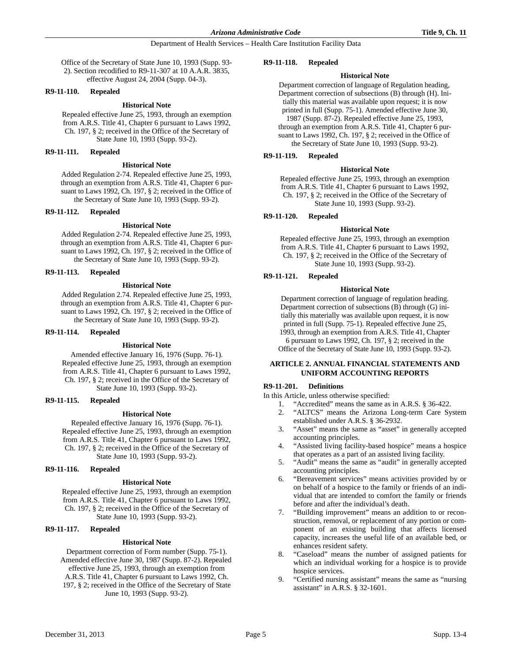Office of the Secretary of State June 10, 1993 (Supp. 93- 2). Section recodified to R9-11-307 at 10 A.A.R. 3835, effective August 24, 2004 (Supp. 04-3).

#### **R9-11-110. Repealed**

### **Historical Note**

Repealed effective June 25, 1993, through an exemption from A.R.S. Title 41, Chapter 6 pursuant to Laws 1992, Ch. 197, § 2; received in the Office of the Secretary of State June 10, 1993 (Supp. 93-2).

# **R9-11-111. Repealed**

#### **Historical Note**

Added Regulation 2-74. Repealed effective June 25, 1993, through an exemption from A.R.S. Title 41, Chapter 6 pursuant to Laws 1992, Ch. 197, § 2; received in the Office of the Secretary of State June 10, 1993 (Supp. 93-2).

#### **R9-11-112. Repealed**

#### **Historical Note**

Added Regulation 2-74. Repealed effective June 25, 1993, through an exemption from A.R.S. Title 41, Chapter 6 pursuant to Laws 1992, Ch. 197, § 2; received in the Office of the Secretary of State June 10, 1993 (Supp. 93-2).

#### **R9-11-113. Repealed**

#### **Historical Note**

Added Regulation 2.74. Repealed effective June 25, 1993, through an exemption from A.R.S. Title 41, Chapter 6 pursuant to Laws 1992, Ch. 197, § 2; received in the Office of the Secretary of State June 10, 1993 (Supp. 93-2).

#### **R9-11-114. Repealed**

#### **Historical Note**

Amended effective January 16, 1976 (Supp. 76-1). Repealed effective June 25, 1993, through an exemption from A.R.S. Title 41, Chapter 6 pursuant to Laws 1992, Ch. 197, § 2; received in the Office of the Secretary of State June 10, 1993 (Supp. 93-2).

#### **R9-11-115. Repealed**

#### **Historical Note**

Repealed effective January 16, 1976 (Supp. 76-1). Repealed effective June 25, 1993, through an exemption from A.R.S. Title 41, Chapter 6 pursuant to Laws 1992, Ch. 197, § 2; received in the Office of the Secretary of State June 10, 1993 (Supp. 93-2).

#### **R9-11-116. Repealed**

#### **Historical Note**

Repealed effective June 25, 1993, through an exemption from A.R.S. Title 41, Chapter 6 pursuant to Laws 1992, Ch. 197, § 2; received in the Office of the Secretary of State June 10, 1993 (Supp. 93-2).

# **R9-11-117. Repealed**

#### **Historical Note**

Department correction of Form number (Supp. 75-1). Amended effective June 30, 1987 (Supp. 87-2). Repealed effective June 25, 1993, through an exemption from A.R.S. Title 41, Chapter 6 pursuant to Laws 1992, Ch. 197, § 2; received in the Office of the Secretary of State June 10, 1993 (Supp. 93-2).

#### **R9-11-118. Repealed**

#### **Historical Note**

Department correction of language of Regulation heading, Department correction of subsections (B) through (H). Initially this material was available upon request; it is now printed in full (Supp. 75-1). Amended effective June 30, 1987 (Supp. 87-2). Repealed effective June 25, 1993, through an exemption from A.R.S. Title 41, Chapter 6 pursuant to Laws 1992, Ch. 197, § 2; received in the Office of the Secretary of State June 10, 1993 (Supp. 93-2).

#### **R9-11-119. Repealed**

#### **Historical Note**

Repealed effective June 25, 1993, through an exemption from A.R.S. Title 41, Chapter 6 pursuant to Laws 1992, Ch. 197, § 2; received in the Office of the Secretary of State June 10, 1993 (Supp. 93-2).

# **R9-11-120. Repealed**

#### **Historical Note**

Repealed effective June 25, 1993, through an exemption from A.R.S. Title 41, Chapter 6 pursuant to Laws 1992, Ch. 197, § 2; received in the Office of the Secretary of State June 10, 1993 (Supp. 93-2).

# **R9-11-121. Repealed**

#### **Historical Note**

Department correction of language of regulation heading. Department correction of subsections (B) through (G) initially this materially was available upon request, it is now printed in full (Supp. 75-1). Repealed effective June 25, 1993, through an exemption from A.R.S. Title 41, Chapter

6 pursuant to Laws 1992, Ch. 197, § 2; received in the Office of the Secretary of State June 10, 1993 (Supp. 93-2).

## **ARTICLE 2. ANNUAL FINANCIAL STATEMENTS AND UNIFORM ACCOUNTING REPORTS**

## **R9-11-201. Definitions**

In this Article, unless otherwise specified:

- 1. "Accredited" means the same as in A.R.S. § 36-422.
- 2. "ALTCS" means the Arizona Long-term Care System established under A.R.S. § 36-2932.
- 3. "Asset" means the same as "asset" in generally accepted accounting principles.
- 4. "Assisted living facility-based hospice" means a hospice that operates as a part of an assisted living facility.
- 5. "Audit" means the same as "audit" in generally accepted accounting principles.
- 6. "Bereavement services" means activities provided by or on behalf of a hospice to the family or friends of an individual that are intended to comfort the family or friends before and after the individual's death.
- 7. "Building improvement" means an addition to or reconstruction, removal, or replacement of any portion or component of an existing building that affects licensed capacity, increases the useful life of an available bed, or enhances resident safety.
- 8. "Caseload" means the number of assigned patients for which an individual working for a hospice is to provide hospice services.
- 9. "Certified nursing assistant" means the same as "nursing assistant" in A.R.S. § 32-1601.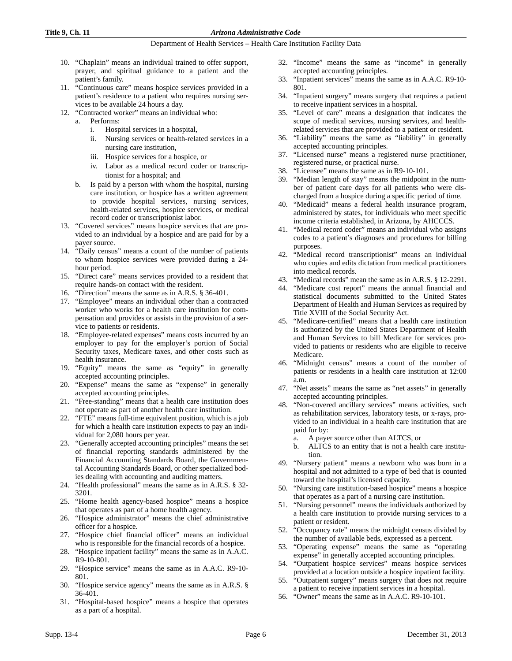- 10. "Chaplain" means an individual trained to offer support, prayer, and spiritual guidance to a patient and the patient's family.
- 11. "Continuous care" means hospice services provided in a patient's residence to a patient who requires nursing services to be available 24 hours a day.
- 12. "Contracted worker" means an individual who:
	- a. Performs:
		- i. Hospital services in a hospital,
		- ii. Nursing services or health-related services in a nursing care institution,
		- iii. Hospice services for a hospice, or
		- iv. Labor as a medical record coder or transcriptionist for a hospital; and
	- b. Is paid by a person with whom the hospital, nursing care institution, or hospice has a written agreement to provide hospital services, nursing services, health-related services, hospice services, or medical record coder or transcriptionist labor.
- 13. "Covered services" means hospice services that are provided to an individual by a hospice and are paid for by a payer source.
- 14. "Daily census" means a count of the number of patients to whom hospice services were provided during a 24 hour period.
- 15. "Direct care" means services provided to a resident that require hands-on contact with the resident.
- 16. "Direction" means the same as in A.R.S. § 36-401.
- 17. "Employee" means an individual other than a contracted worker who works for a health care institution for compensation and provides or assists in the provision of a service to patients or residents.
- 18. "Employee-related expenses" means costs incurred by an employer to pay for the employer's portion of Social Security taxes, Medicare taxes, and other costs such as health insurance.
- 19. "Equity" means the same as "equity" in generally accepted accounting principles.
- 20. "Expense" means the same as "expense" in generally accepted accounting principles.
- 21. "Free-standing" means that a health care institution does not operate as part of another health care institution.
- 22. "FTE" means full-time equivalent position, which is a job for which a health care institution expects to pay an individual for 2,080 hours per year.
- 23. "Generally accepted accounting principles" means the set of financial reporting standards administered by the Financial Accounting Standards Board, the Governmental Accounting Standards Board, or other specialized bodies dealing with accounting and auditing matters.
- 24. "Health professional" means the same as in A.R.S. § 32- 3201.
- 25. "Home health agency-based hospice" means a hospice that operates as part of a home health agency.
- 26. "Hospice administrator" means the chief administrative officer for a hospice.
- 27. "Hospice chief financial officer" means an individual who is responsible for the financial records of a hospice.
- 28. "Hospice inpatient facility" means the same as in A.A.C. R9-10-801.
- 29. "Hospice service" means the same as in A.A.C. R9-10- 801.
- 30. "Hospice service agency" means the same as in A.R.S. § 36-401.
- 31. "Hospital-based hospice" means a hospice that operates as a part of a hospital.
- 32. "Income" means the same as "income" in generally accepted accounting principles.
- 33. "Inpatient services" means the same as in A.A.C. R9-10- 801.
- 34. "Inpatient surgery" means surgery that requires a patient to receive inpatient services in a hospital.
- 35. "Level of care" means a designation that indicates the scope of medical services, nursing services, and healthrelated services that are provided to a patient or resident.
- 36. "Liability" means the same as "liability" in generally accepted accounting principles.
- 37. "Licensed nurse" means a registered nurse practitioner, registered nurse, or practical nurse.
- 38. "Licensee" means the same as in R9-10-101.
- 39. "Median length of stay" means the midpoint in the number of patient care days for all patients who were discharged from a hospice during a specific period of time.
- 40. "Medicaid" means a federal health insurance program, administered by states, for individuals who meet specific income criteria established, in Arizona, by AHCCCS.
- 41. "Medical record coder" means an individual who assigns codes to a patient's diagnoses and procedures for billing purposes.
- 42. "Medical record transcriptionist" means an individual who copies and edits dictation from medical practitioners into medical records.
- 43. "Medical records" mean the same as in A.R.S. § 12-2291.
- 44. "Medicare cost report" means the annual financial and statistical documents submitted to the United States Department of Health and Human Services as required by Title XVIII of the Social Security Act.
- 45. "Medicare-certified" means that a health care institution is authorized by the United States Department of Health and Human Services to bill Medicare for services provided to patients or residents who are eligible to receive Medicare.
- 46. "Midnight census" means a count of the number of patients or residents in a health care institution at 12:00 a.m.
- 47. "Net assets" means the same as "net assets" in generally accepted accounting principles.
- 48. "Non-covered ancillary services" means activities, such as rehabilitation services, laboratory tests, or x-rays, provided to an individual in a health care institution that are paid for by:
	- a. A payer source other than ALTCS, or
	- b. ALTCS to an entity that is not a health care institution.
- 49. "Nursery patient" means a newborn who was born in a hospital and not admitted to a type of bed that is counted toward the hospital's licensed capacity.
- 50. "Nursing care institution-based hospice" means a hospice that operates as a part of a nursing care institution.
- 51. "Nursing personnel" means the individuals authorized by a health care institution to provide nursing services to a patient or resident.
- 52. "Occupancy rate" means the midnight census divided by the number of available beds, expressed as a percent.
- 53. "Operating expense" means the same as "operating expense" in generally accepted accounting principles.
- 54. "Outpatient hospice services" means hospice services provided at a location outside a hospice inpatient facility.
- 55. "Outpatient surgery" means surgery that does not require a patient to receive inpatient services in a hospital.
- 56. "Owner" means the same as in A.A.C. R9-10-101.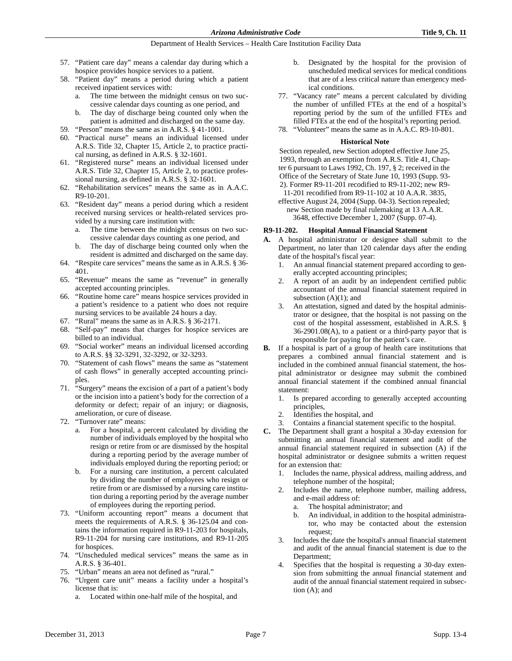- 57. "Patient care day" means a calendar day during which a hospice provides hospice services to a patient.
- 58. "Patient day" means a period during which a patient received inpatient services with:
	- a. The time between the midnight census on two successive calendar days counting as one period, and
	- b. The day of discharge being counted only when the patient is admitted and discharged on the same day.
- 59. "Person" means the same as in A.R.S. § 41-1001.
- 60. "Practical nurse" means an individual licensed under A.R.S. Title 32, Chapter 15, Article 2, to practice practical nursing, as defined in A.R.S. § 32-1601.
- 61. "Registered nurse" means an individual licensed under A.R.S. Title 32, Chapter 15, Article 2, to practice professional nursing, as defined in A.R.S. § 32-1601.
- 62. "Rehabilitation services" means the same as in A.A.C. R9-10-201.
- 63. "Resident day" means a period during which a resident received nursing services or health-related services provided by a nursing care institution with:
	- a. The time between the midnight census on two successive calendar days counting as one period, and
	- b. The day of discharge being counted only when the resident is admitted and discharged on the same day.
- 64. "Respite care services" means the same as in A.R.S. § 36- 401.
- 65. "Revenue" means the same as "revenue" in generally accepted accounting principles.
- 66. "Routine home care" means hospice services provided in a patient's residence to a patient who does not require nursing services to be available 24 hours a day.
- 67. "Rural" means the same as in A.R.S. § 36-2171.
- 68. "Self-pay" means that charges for hospice services are billed to an individual.
- 69. "Social worker" means an individual licensed according to A.R.S. §§ 32-3291, 32-3292, or 32-3293.
- 70. "Statement of cash flows" means the same as "statement of cash flows" in generally accepted accounting principles.
- 71. "Surgery" means the excision of a part of a patient's body or the incision into a patient's body for the correction of a deformity or defect; repair of an injury; or diagnosis, amelioration, or cure of disease.
- 72. "Turnover rate" means:
	- a. For a hospital, a percent calculated by dividing the number of individuals employed by the hospital who resign or retire from or are dismissed by the hospital during a reporting period by the average number of individuals employed during the reporting period; or
	- b. For a nursing care institution, a percent calculated by dividing the number of employees who resign or retire from or are dismissed by a nursing care institution during a reporting period by the average number of employees during the reporting period.
- 73. "Uniform accounting report" means a document that meets the requirements of A.R.S. § 36-125.04 and contains the information required in R9-11-203 for hospitals, R9-11-204 for nursing care institutions, and R9-11-205 for hospices.
- 74. "Unscheduled medical services" means the same as in A.R.S. § 36-401.
- 75. "Urban" means an area not defined as "rural."
- 76. "Urgent care unit" means a facility under a hospital's license that is:
	- Located within one-half mile of the hospital, and
- b. Designated by the hospital for the provision of unscheduled medical services for medical conditions that are of a less critical nature than emergency medical conditions.
- 77. "Vacancy rate" means a percent calculated by dividing the number of unfilled FTEs at the end of a hospital's reporting period by the sum of the unfilled FTEs and filled FTEs at the end of the hospital's reporting period.
- 78. "Volunteer" means the same as in A.A.C. R9-10-801.

## **Historical Note**

Section repealed, new Section adopted effective June 25, 1993, through an exemption from A.R.S. Title 41, Chapter 6 pursuant to Laws 1992, Ch. 197, § 2; received in the Office of the Secretary of State June 10, 1993 (Supp. 93- 2). Former R9-11-201 recodified to R9-11-202; new R9-

11-201 recodified from R9-11-102 at 10 A.A.R. 3835, effective August 24, 2004 (Supp. 04-3). Section repealed;

new Section made by final rulemaking at 13 A.A.R. 3648, effective December 1, 2007 (Supp. 07-4).

# **R9-11-202. Hospital Annual Financial Statement**

- **A.** A hospital administrator or designee shall submit to the Department, no later than 120 calendar days after the ending date of the hospital's fiscal year:
	- 1. An annual financial statement prepared according to generally accepted accounting principles;
	- 2. A report of an audit by an independent certified public accountant of the annual financial statement required in subsection  $(A)(1)$ ; and
	- 3. An attestation, signed and dated by the hospital administrator or designee, that the hospital is not passing on the cost of the hospital assessment, established in A.R.S. § 36-2901.08(A), to a patient or a third-party payor that is responsible for paying for the patient's care.
- **B.** If a hospital is part of a group of health care institutions that prepares a combined annual financial statement and is included in the combined annual financial statement, the hospital administrator or designee may submit the combined annual financial statement if the combined annual financial statement:
	- 1. Is prepared according to generally accepted accounting principles,
	- 2. Identifies the hospital, and
	- 3. Contains a financial statement specific to the hospital.
- **C.** The Department shall grant a hospital a 30-day extension for submitting an annual financial statement and audit of the annual financial statement required in subsection (A) if the hospital administrator or designee submits a written request for an extension that:
	- 1. Includes the name, physical address, mailing address, and telephone number of the hospital;
	- 2. Includes the name, telephone number, mailing address, and e-mail address of:
		- a. The hospital administrator; and
		- b. An individual, in addition to the hospital administrator, who may be contacted about the extension request;
	- 3. Includes the date the hospital's annual financial statement and audit of the annual financial statement is due to the Department;
	- 4. Specifies that the hospital is requesting a 30-day extension from submitting the annual financial statement and audit of the annual financial statement required in subsection (A); and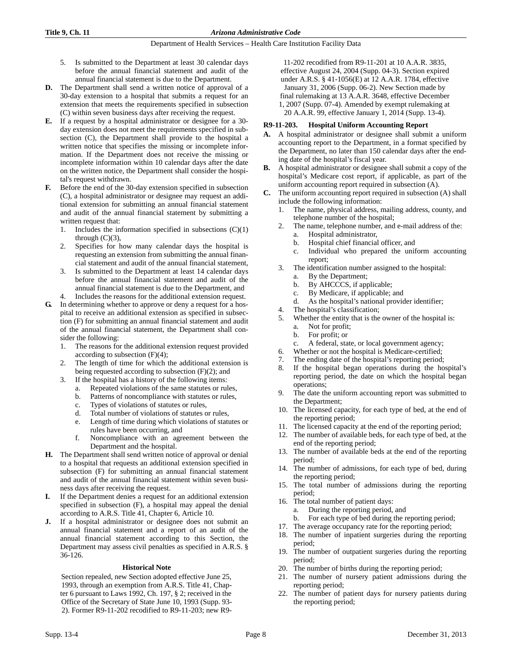- 5. Is submitted to the Department at least 30 calendar days before the annual financial statement and audit of the annual financial statement is due to the Department.
- **D.** The Department shall send a written notice of approval of a 30-day extension to a hospital that submits a request for an extension that meets the requirements specified in subsection (C) within seven business days after receiving the request.
- **E.** If a request by a hospital administrator or designee for a 30 day extension does not meet the requirements specified in subsection (C), the Department shall provide to the hospital a written notice that specifies the missing or incomplete information. If the Department does not receive the missing or incomplete information within 10 calendar days after the date on the written notice, the Department shall consider the hospital's request withdrawn.
- **F.** Before the end of the 30-day extension specified in subsection (C), a hospital administrator or designee may request an additional extension for submitting an annual financial statement and audit of the annual financial statement by submitting a written request that:
	- 1. Includes the information specified in subsections  $(C)(1)$ through  $(C)(3)$ ,
	- 2. Specifies for how many calendar days the hospital is requesting an extension from submitting the annual financial statement and audit of the annual financial statement,
	- 3. Is submitted to the Department at least 14 calendar days before the annual financial statement and audit of the annual financial statement is due to the Department, and
	- Includes the reasons for the additional extension request.
- **G.** In determining whether to approve or deny a request for a hospital to receive an additional extension as specified in subsection (F) for submitting an annual financial statement and audit of the annual financial statement, the Department shall consider the following:
	- 1. The reasons for the additional extension request provided according to subsection  $(F)(4)$ ;
	- 2. The length of time for which the additional extension is being requested according to subsection  $(F)(2)$ ; and
	- 3. If the hospital has a history of the following items:
		- a. Repeated violations of the same statutes or rules,
		- b. Patterns of noncompliance with statutes or rules,
		- c. Types of violations of statutes or rules,
		- d. Total number of violations of statutes or rules,
		- e. Length of time during which violations of statutes or rules have been occurring, and
		- f. Noncompliance with an agreement between the Department and the hospital.
- **H.** The Department shall send written notice of approval or denial to a hospital that requests an additional extension specified in subsection (F) for submitting an annual financial statement and audit of the annual financial statement within seven business days after receiving the request.
- **I.** If the Department denies a request for an additional extension specified in subsection (F), a hospital may appeal the denial according to A.R.S. Title 41, Chapter 6, Article 10.
- **J.** If a hospital administrator or designee does not submit an annual financial statement and a report of an audit of the annual financial statement according to this Section, the Department may assess civil penalties as specified in A.R.S. § 36-126.

#### **Historical Note**

Section repealed, new Section adopted effective June 25, 1993, through an exemption from A.R.S. Title 41, Chapter 6 pursuant to Laws 1992, Ch. 197, § 2; received in the Office of the Secretary of State June 10, 1993 (Supp. 93- 2). Former R9-11-202 recodified to R9-11-203; new R9-

11-202 recodified from R9-11-201 at 10 A.A.R. 3835, effective August 24, 2004 (Supp. 04-3). Section expired under A.R.S. § 41-1056(E) at 12 A.A.R. 1784, effective January 31, 2006 (Supp. 06-2). New Section made by final rulemaking at 13 A.A.R. 3648, effective December 1, 2007 (Supp. 07-4). Amended by exempt rulemaking at 20 A.A.R. 99, effective January 1, 2014 (Supp. 13-4).

## **R9-11-203. Hospital Uniform Accounting Report**

- **A.** A hospital administrator or designee shall submit a uniform accounting report to the Department, in a format specified by the Department, no later than 150 calendar days after the ending date of the hospital's fiscal year.
- **B.** A hospital administrator or designee shall submit a copy of the hospital's Medicare cost report, if applicable, as part of the uniform accounting report required in subsection (A).
- **C.** The uniform accounting report required in subsection (A) shall include the following information:
	- 1. The name, physical address, mailing address, county, and telephone number of the hospital;
	- 2. The name, telephone number, and e-mail address of the:
		- a. Hospital administrator,
		- b. Hospital chief financial officer, and
		- c. Individual who prepared the uniform accounting report;
	- 3. The identification number assigned to the hospital:
		- a. By the Department;
		- b. By AHCCCS, if applicable;
		- c. By Medicare, if applicable; and
		- d. As the hospital's national provider identifier;
	- 4. The hospital's classification;
	- 5. Whether the entity that is the owner of the hospital is:
		- a. Not for profit;
		- b. For profit; or
		- A federal, state, or local government agency;
	- 6. Whether or not the hospital is Medicare-certified; 7. The ending date of the hospital's reporting period;
	- 8. If the hospital began operations during the hospital's reporting period, the date on which the hospital began operations;
	- 9. The date the uniform accounting report was submitted to the Department;
	- 10. The licensed capacity, for each type of bed, at the end of the reporting period;
	- 11. The licensed capacity at the end of the reporting period;
	- 12. The number of available beds, for each type of bed, at the end of the reporting period;
	- 13. The number of available beds at the end of the reporting period;
	- 14. The number of admissions, for each type of bed, during the reporting period;
	- 15. The total number of admissions during the reporting period;
	- 16. The total number of patient days:
		- a. During the reporting period, and
		- b. For each type of bed during the reporting period;
	- 17. The average occupancy rate for the reporting period;
	- 18. The number of inpatient surgeries during the reporting period;
	- 19. The number of outpatient surgeries during the reporting period;
	- 20. The number of births during the reporting period;
	- 21. The number of nursery patient admissions during the reporting period;
	- 22. The number of patient days for nursery patients during the reporting period;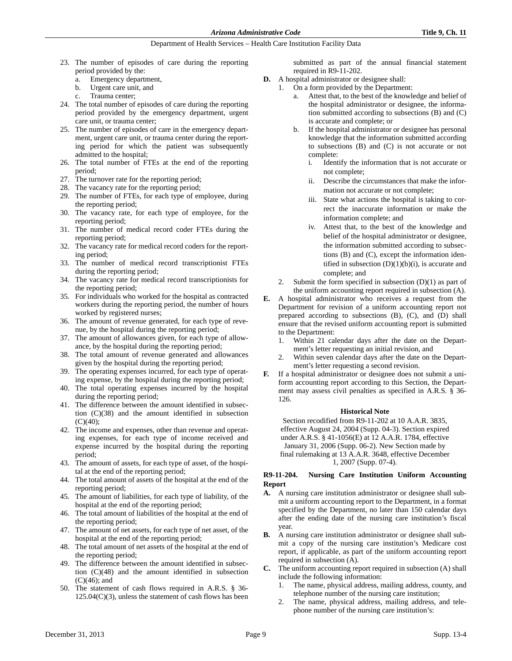- 23. The number of episodes of care during the reporting period provided by the:
	- a. Emergency department,
	- b. Urgent care unit, and
	- Trauma center;
- 24. The total number of episodes of care during the reporting period provided by the emergency department, urgent care unit, or trauma center;
- 25. The number of episodes of care in the emergency department, urgent care unit, or trauma center during the reporting period for which the patient was subsequently admitted to the hospital;
- 26. The total number of FTEs at the end of the reporting period;
- 27. The turnover rate for the reporting period;
- 28. The vacancy rate for the reporting period;
- 29. The number of FTEs, for each type of employee, during the reporting period;
- 30. The vacancy rate, for each type of employee, for the reporting period;
- 31. The number of medical record coder FTEs during the reporting period;
- 32. The vacancy rate for medical record coders for the reporting period;
- 33. The number of medical record transcriptionist FTEs during the reporting period;
- 34. The vacancy rate for medical record transcriptionists for the reporting period;
- 35. For individuals who worked for the hospital as contracted workers during the reporting period, the number of hours worked by registered nurses;
- 36. The amount of revenue generated, for each type of revenue, by the hospital during the reporting period;
- 37. The amount of allowances given, for each type of allowance, by the hospital during the reporting period;
- 38. The total amount of revenue generated and allowances given by the hospital during the reporting period;
- 39. The operating expenses incurred, for each type of operating expense, by the hospital during the reporting period;
- 40. The total operating expenses incurred by the hospital during the reporting period;
- 41. The difference between the amount identified in subsection (C)(38) and the amount identified in subsection  $(C)(40)$ ;
- 42. The income and expenses, other than revenue and operating expenses, for each type of income received and expense incurred by the hospital during the reporting period;
- 43. The amount of assets, for each type of asset, of the hospital at the end of the reporting period;
- 44. The total amount of assets of the hospital at the end of the reporting period;
- 45. The amount of liabilities, for each type of liability, of the hospital at the end of the reporting period;
- 46. The total amount of liabilities of the hospital at the end of the reporting period;
- 47. The amount of net assets, for each type of net asset, of the hospital at the end of the reporting period;
- 48. The total amount of net assets of the hospital at the end of the reporting period;
- 49. The difference between the amount identified in subsection (C)(48) and the amount identified in subsection  $(C)(46)$ ; and
- 50. The statement of cash flows required in A.R.S. § 36-  $125.04(C)(3)$ , unless the statement of cash flows has been

submitted as part of the annual financial statement required in R9-11-202.

- **D.** A hospital administrator or designee shall:
	- 1. On a form provided by the Department:
		- a. Attest that, to the best of the knowledge and belief of the hospital administrator or designee, the information submitted according to subsections (B) and (C) is accurate and complete; or
		- If the hospital administrator or designee has personal knowledge that the information submitted according to subsections (B) and (C) is not accurate or not complete:
			- i. Identify the information that is not accurate or not complete;
			- ii. Describe the circumstances that make the information not accurate or not complete;
			- iii. State what actions the hospital is taking to correct the inaccurate information or make the information complete; and
			- iv. Attest that, to the best of the knowledge and belief of the hospital administrator or designee, the information submitted according to subsections (B) and (C), except the information identified in subsection  $(D)(1)(b)(i)$ , is accurate and complete; and
		- 2. Submit the form specified in subsection  $(D)(1)$  as part of the uniform accounting report required in subsection (A).
- **E.** A hospital administrator who receives a request from the Department for revision of a uniform accounting report not prepared according to subsections (B), (C), and (D) shall ensure that the revised uniform accounting report is submitted to the Department:
	- 1. Within 21 calendar days after the date on the Department's letter requesting an initial revision, and
	- 2. Within seven calendar days after the date on the Department's letter requesting a second revision.
	- **F.** If a hospital administrator or designee does not submit a uniform accounting report according to this Section, the Department may assess civil penalties as specified in A.R.S. § 36- 126.

#### **Historical Note**

Section recodified from R9-11-202 at 10 A.A.R. 3835, effective August 24, 2004 (Supp. 04-3). Section expired under A.R.S. § 41-1056(E) at 12 A.A.R. 1784, effective January 31, 2006 (Supp. 06-2). New Section made by final rulemaking at 13 A.A.R. 3648, effective December 1, 2007 (Supp. 07-4).

# **R9-11-204. Nursing Care Institution Uniform Accounting Report**

- **A.** A nursing care institution administrator or designee shall submit a uniform accounting report to the Department, in a format specified by the Department, no later than 150 calendar days after the ending date of the nursing care institution's fiscal year.
- **B.** A nursing care institution administrator or designee shall submit a copy of the nursing care institution's Medicare cost report, if applicable, as part of the uniform accounting report required in subsection (A).
- **C.** The uniform accounting report required in subsection (A) shall include the following information:
	- The name, physical address, mailing address, county, and telephone number of the nursing care institution;
	- 2. The name, physical address, mailing address, and telephone number of the nursing care institution's: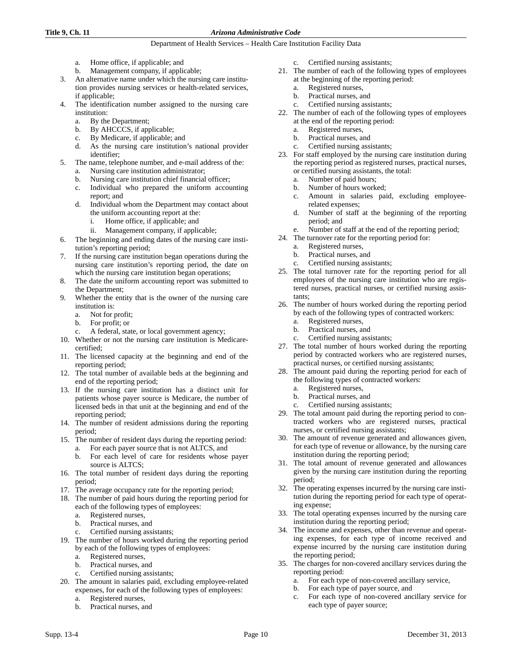## **Title 9, Ch. 11** *Arizona Administrative Code*

- a. Home office, if applicable; and
- b. Management company, if applicable;
- 3. An alternative name under which the nursing care institution provides nursing services or health-related services, if applicable;
- 4. The identification number assigned to the nursing care institution:
	- a. By the Department;
	- b. By AHCCCS, if applicable;
	- c. By Medicare, if applicable; and
	- d. As the nursing care institution's national provider identifier;
	- The name, telephone number, and e-mail address of the:
		- a. Nursing care institution administrator;
		- b. Nursing care institution chief financial officer; c. Individual who prepared the uniform accounting
		- report; and
		- d. Individual whom the Department may contact about the uniform accounting report at the:
			- i. Home office, if applicable; and
			- ii. Management company, if applicable;
- 6. The beginning and ending dates of the nursing care institution's reporting period;
- 7. If the nursing care institution began operations during the nursing care institution's reporting period, the date on which the nursing care institution began operations;
- 8. The date the uniform accounting report was submitted to the Department;
- 9. Whether the entity that is the owner of the nursing care institution is:
	- a. Not for profit;
	- b. For profit; or
	- c. A federal, state, or local government agency;
- 10. Whether or not the nursing care institution is Medicarecertified;
- 11. The licensed capacity at the beginning and end of the reporting period;
- 12. The total number of available beds at the beginning and end of the reporting period;
- 13. If the nursing care institution has a distinct unit for patients whose payer source is Medicare, the number of licensed beds in that unit at the beginning and end of the reporting period;
- 14. The number of resident admissions during the reporting period;
- 15. The number of resident days during the reporting period:
	- a. For each payer source that is not ALTCS, and
		- b. For each level of care for residents whose payer source is ALTCS;
- 16. The total number of resident days during the reporting period;
- 17. The average occupancy rate for the reporting period;
- 18. The number of paid hours during the reporting period for each of the following types of employees:
	- a. Registered nurses,
	- b. Practical nurses, and
	- c. Certified nursing assistants;
- 19. The number of hours worked during the reporting period by each of the following types of employees:
	- a. Registered nurses,
	- b. Practical nurses, and
	- c. Certified nursing assistants;
- 20. The amount in salaries paid, excluding employee-related expenses, for each of the following types of employees:
	- a. Registered nurses,
	- b. Practical nurses, and
- c. Certified nursing assistants;
- 21. The number of each of the following types of employees at the beginning of the reporting period:
	- a. Registered nurses,
	- b. Practical nurses, and
	- Certified nursing assistants;
- 22. The number of each of the following types of employees at the end of the reporting period:
	- a. Registered nurses,
	- b. Practical nurses, and
	- c. Certified nursing assistants;
- 23. For staff employed by the nursing care institution during the reporting period as registered nurses, practical nurses, or certified nursing assistants, the total:
	- a. Number of paid hours;
	- b. Number of hours worked;
	- c. Amount in salaries paid, excluding employeerelated expenses;
	- d. Number of staff at the beginning of the reporting period; and
	- e. Number of staff at the end of the reporting period;
- 24. The turnover rate for the reporting period for:
	- a. Registered nurses,
	- b. Practical nurses, and
	- c. Certified nursing assistants;
- 25. The total turnover rate for the reporting period for all employees of the nursing care institution who are registered nurses, practical nurses, or certified nursing assistants;
- 26. The number of hours worked during the reporting period by each of the following types of contracted workers:
	- a. Registered nurses,
	- b. Practical nurses, and
	- c. Certified nursing assistants;
- 27. The total number of hours worked during the reporting period by contracted workers who are registered nurses, practical nurses, or certified nursing assistants;
- 28. The amount paid during the reporting period for each of the following types of contracted workers:
	- a. Registered nurses,
	- b. Practical nurses, and
	- c. Certified nursing assistants;
- 29. The total amount paid during the reporting period to contracted workers who are registered nurses, practical nurses, or certified nursing assistants;
- 30. The amount of revenue generated and allowances given, for each type of revenue or allowance, by the nursing care institution during the reporting period;
- 31. The total amount of revenue generated and allowances given by the nursing care institution during the reporting period;
- 32. The operating expenses incurred by the nursing care institution during the reporting period for each type of operating expense;
- 33. The total operating expenses incurred by the nursing care institution during the reporting period;
- 34. The income and expenses, other than revenue and operating expenses, for each type of income received and expense incurred by the nursing care institution during the reporting period;
- 35. The charges for non-covered ancillary services during the reporting period:
	- a. For each type of non-covered ancillary service,
	- b. For each type of payer source, and
	- c. For each type of non-covered ancillary service for each type of payer source;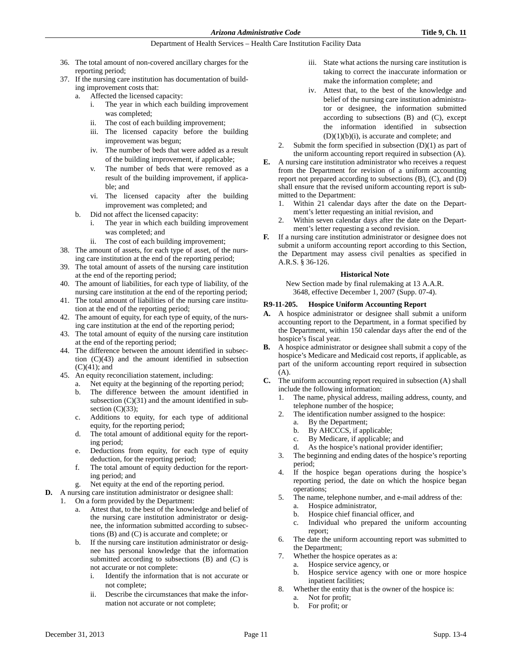- 36. The total amount of non-covered ancillary charges for the reporting period;
- 37. If the nursing care institution has documentation of building improvement costs that:
	- a. Affected the licensed capacity:
		- i. The year in which each building improvement was completed;
		- ii. The cost of each building improvement;
		- iii. The licensed capacity before the building improvement was begun;
		- iv. The number of beds that were added as a result of the building improvement, if applicable;
		- v. The number of beds that were removed as a result of the building improvement, if applicable; and
		- vi. The licensed capacity after the building improvement was completed; and
	- b. Did not affect the licensed capacity:
		- i. The year in which each building improvement was completed; and
		- ii. The cost of each building improvement;
- 38. The amount of assets, for each type of asset, of the nursing care institution at the end of the reporting period;
- 39. The total amount of assets of the nursing care institution at the end of the reporting period;
- 40. The amount of liabilities, for each type of liability, of the nursing care institution at the end of the reporting period;
- 41. The total amount of liabilities of the nursing care institution at the end of the reporting period;
- 42. The amount of equity, for each type of equity, of the nursing care institution at the end of the reporting period;
- 43. The total amount of equity of the nursing care institution at the end of the reporting period;
- 44. The difference between the amount identified in subsection (C)(43) and the amount identified in subsection (C)(41); and
- 45. An equity reconciliation statement, including:
	- a. Net equity at the beginning of the reporting period;
	- b. The difference between the amount identified in subsection  $(C)(31)$  and the amount identified in subsection  $(C)(33)$ ;
	- c. Additions to equity, for each type of additional equity, for the reporting period;
	- d. The total amount of additional equity for the reporting period;
	- e. Deductions from equity, for each type of equity deduction, for the reporting period;
	- f. The total amount of equity deduction for the reporting period; and
	- g. Net equity at the end of the reporting period.
- **D.** A nursing care institution administrator or designee shall:
	- 1. On a form provided by the Department:
		- a. Attest that, to the best of the knowledge and belief of the nursing care institution administrator or designee, the information submitted according to subsections (B) and (C) is accurate and complete; or
		- b. If the nursing care institution administrator or designee has personal knowledge that the information submitted according to subsections (B) and (C) is not accurate or not complete:
			- i. Identify the information that is not accurate or not complete;
			- ii. Describe the circumstances that make the information not accurate or not complete;
- iii. State what actions the nursing care institution is taking to correct the inaccurate information or make the information complete; and
- iv. Attest that, to the best of the knowledge and belief of the nursing care institution administrator or designee, the information submitted according to subsections (B) and (C), except the information identified in subsection (D)(1)(b)(i), is accurate and complete; and
- 2. Submit the form specified in subsection  $(D)(1)$  as part of the uniform accounting report required in subsection (A).
- **E.** A nursing care institution administrator who receives a request from the Department for revision of a uniform accounting report not prepared according to subsections (B), (C), and (D) shall ensure that the revised uniform accounting report is submitted to the Department:
	- 1. Within 21 calendar days after the date on the Department's letter requesting an initial revision, and
	- 2. Within seven calendar days after the date on the Department's letter requesting a second revision.
- **F.** If a nursing care institution administrator or designee does not submit a uniform accounting report according to this Section, the Department may assess civil penalties as specified in A.R.S. § 36-126.

# **Historical Note**

New Section made by final rulemaking at 13 A.A.R. 3648, effective December 1, 2007 (Supp. 07-4).

# **R9-11-205. Hospice Uniform Accounting Report**

- **A.** A hospice administrator or designee shall submit a uniform accounting report to the Department, in a format specified by the Department, within 150 calendar days after the end of the hospice's fiscal year.
- **B.** A hospice administrator or designee shall submit a copy of the hospice's Medicare and Medicaid cost reports, if applicable, as part of the uniform accounting report required in subsection (A).
- **C.** The uniform accounting report required in subsection (A) shall include the following information:
	- 1. The name, physical address, mailing address, county, and telephone number of the hospice;
	- 2. The identification number assigned to the hospice:
		- a. By the Department;
		- b. By AHCCCS, if applicable;
		- c. By Medicare, if applicable; and
		- d. As the hospice's national provider identifier;
	- 3. The beginning and ending dates of the hospice's reporting period;
	- 4. If the hospice began operations during the hospice's reporting period, the date on which the hospice began operations;
	- 5. The name, telephone number, and e-mail address of the: a. Hospice administrator,
		- b. Hospice chief financial officer, and
		- c. Individual who prepared the uniform accounting report;
	- 6. The date the uniform accounting report was submitted to the Department;
	- 7. Whether the hospice operates as a:
		- a. Hospice service agency, or
		- b. Hospice service agency with one or more hospice inpatient facilities;
	- 8. Whether the entity that is the owner of the hospice is:
		- a. Not for profit;
		- b. For profit; or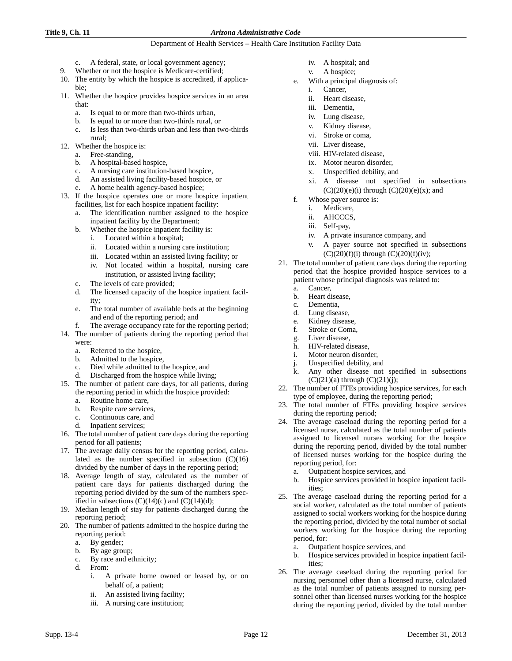## **Title 9, Ch. 11** *Arizona Administrative Code*

- c. A federal, state, or local government agency;
- 9. Whether or not the hospice is Medicare-certified;
- 10. The entity by which the hospice is accredited, if applicable;
- 11. Whether the hospice provides hospice services in an area that:
	- a. Is equal to or more than two-thirds urban,
	- b. Is equal to or more than two-thirds rural, or
	- c. Is less than two-thirds urban and less than two-thirds rural;
- 12. Whether the hospice is:
	- a. Free-standing,
	- b. A hospital-based hospice,
	- c. A nursing care institution-based hospice,
	- d. An assisted living facility-based hospice, or
	- e. A home health agency-based hospice;
- 13. If the hospice operates one or more hospice inpatient facilities, list for each hospice inpatient facility:
	- a. The identification number assigned to the hospice inpatient facility by the Department;
	- b. Whether the hospice inpatient facility is:
		- i. Located within a hospital;
		- ii. Located within a nursing care institution;
		- iii. Located within an assisted living facility; or
		- iv. Not located within a hospital, nursing care institution, or assisted living facility;
	- c. The levels of care provided;
	- d. The licensed capacity of the hospice inpatient facility;
	- e. The total number of available beds at the beginning and end of the reporting period; and
	- f. The average occupancy rate for the reporting period;
- 14. The number of patients during the reporting period that were:
	- a. Referred to the hospice,
	- b. Admitted to the hospice,
	- c. Died while admitted to the hospice, and
	- d. Discharged from the hospice while living;
- 15. The number of patient care days, for all patients, during the reporting period in which the hospice provided:
	- a. Routine home care,
	- b. Respite care services,
	- c. Continuous care, and
	- d. Inpatient services;
- 16. The total number of patient care days during the reporting period for all patients;
- 17. The average daily census for the reporting period, calculated as the number specified in subsection (C)(16) divided by the number of days in the reporting period;
- 18. Average length of stay, calculated as the number of patient care days for patients discharged during the reporting period divided by the sum of the numbers specified in subsections  $(C)(14)(c)$  and  $(C)(14)(d)$ ;
- 19. Median length of stay for patients discharged during the reporting period;
- 20. The number of patients admitted to the hospice during the reporting period:
	- a. By gender;
	- b. By age group;
	- c. By race and ethnicity;
	- d. From:
		- i. A private home owned or leased by, or on behalf of, a patient;
		- ii. An assisted living facility;
		- iii. A nursing care institution;
- iv. A hospital; and
- v. A hospice;
- e. With a principal diagnosis of:
	- i. Cancer,
		- ii. Heart disease,
		- iii. Dementia,
		- iv. Lung disease,
		- v. Kidney disease,
		- vi. Stroke or coma,
		- vii. Liver disease,
		- viii. HIV-related disease,
		- ix. Motor neuron disorder,
		- x. Unspecified debility, and
		- xi. A disease not specified in subsections  $(C)(20)(e)(i)$  through  $(C)(20)(e)(x)$ ; and
- f. Whose payer source is:
	- i. Medicare,
	- ii. AHCCCS,
	- iii. Self-pay,
	- iv. A private insurance company, and
	- v. A payer source not specified in subsections  $(C)(20)(f)(i)$  through  $(C)(20)(f)(iv)$ ;
- 21. The total number of patient care days during the reporting period that the hospice provided hospice services to a patient whose principal diagnosis was related to:
	- a. Cancer,
	- b. Heart disease,
	- c. Dementia,
	- d. Lung disease,
	- e. Kidney disease,
	- f. Stroke or Coma,
	- g. Liver disease,
	- h. HIV-related disease,
	- i. Motor neuron disorder,
	- j. Unspecified debility, and
	- Any other disease not specified in subsections  $(C)(21)(a)$  through  $(C)(21)(j)$ ;
- 22. The number of FTEs providing hospice services, for each type of employee, during the reporting period;
- 23. The total number of FTEs providing hospice services during the reporting period;
- 24. The average caseload during the reporting period for a licensed nurse, calculated as the total number of patients assigned to licensed nurses working for the hospice during the reporting period, divided by the total number of licensed nurses working for the hospice during the reporting period, for:
	- a. Outpatient hospice services, and
	- b. Hospice services provided in hospice inpatient facilities;
- 25. The average caseload during the reporting period for a social worker, calculated as the total number of patients assigned to social workers working for the hospice during the reporting period, divided by the total number of social workers working for the hospice during the reporting period, for:
	- a. Outpatient hospice services, and
	- b. Hospice services provided in hospice inpatient facilities;
- 26. The average caseload during the reporting period for nursing personnel other than a licensed nurse, calculated as the total number of patients assigned to nursing personnel other than licensed nurses working for the hospice during the reporting period, divided by the total number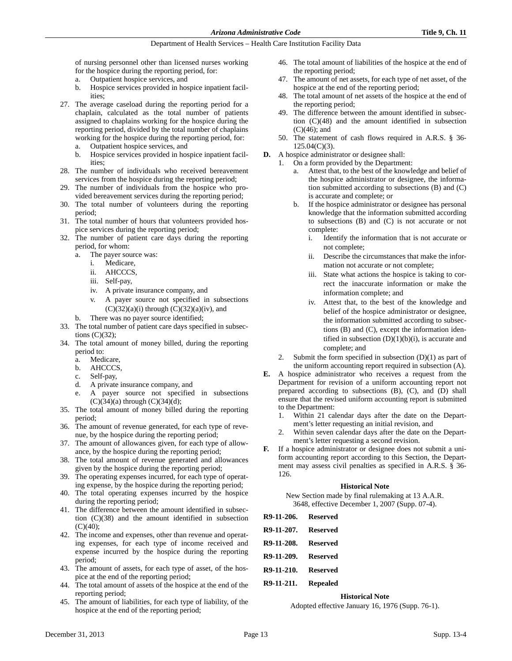of nursing personnel other than licensed nurses working for the hospice during the reporting period, for:

- a. Outpatient hospice services, and
- b. Hospice services provided in hospice inpatient facilities;
- 27. The average caseload during the reporting period for a chaplain, calculated as the total number of patients assigned to chaplains working for the hospice during the reporting period, divided by the total number of chaplains working for the hospice during the reporting period, for:
	- a. Outpatient hospice services, and
	- b. Hospice services provided in hospice inpatient facilities;
- 28. The number of individuals who received bereavement services from the hospice during the reporting period;
- 29. The number of individuals from the hospice who provided bereavement services during the reporting period;
- 30. The total number of volunteers during the reporting period;
- 31. The total number of hours that volunteers provided hospice services during the reporting period;
- 32. The number of patient care days during the reporting period, for whom:
	- a. The payer source was:
		- i. Medicare,
		- ii. AHCCCS,
		- iii. Self-pay,
		- iv. A private insurance company, and
		- v. A payer source not specified in subsections  $(C)(32)(a)(i)$  through  $(C)(32)(a)(iv)$ , and
	- b. There was no payer source identified;
- 33. The total number of patient care days specified in subsections (C)(32);
- 34. The total amount of money billed, during the reporting period to:
	- a. Medicare,
	- b. AHCCCS,
	- c. Self-pay,
	- d. A private insurance company, and
	- e. A payer source not specified in subsections
- $(C)(34)(a)$  through  $(C)(34)(d)$ ; 35. The total amount of money billed during the reporting period;
- 36. The amount of revenue generated, for each type of revenue, by the hospice during the reporting period;
- 37. The amount of allowances given, for each type of allowance, by the hospice during the reporting period;
- 38. The total amount of revenue generated and allowances given by the hospice during the reporting period;
- 39. The operating expenses incurred, for each type of operating expense, by the hospice during the reporting period;
- 40. The total operating expenses incurred by the hospice during the reporting period;
- 41. The difference between the amount identified in subsection (C)(38) and the amount identified in subsection  $(C)(40)$ ;
- 42. The income and expenses, other than revenue and operating expenses, for each type of income received and expense incurred by the hospice during the reporting period;
- 43. The amount of assets, for each type of asset, of the hospice at the end of the reporting period;
- 44. The total amount of assets of the hospice at the end of the reporting period;
- 45. The amount of liabilities, for each type of liability, of the hospice at the end of the reporting period;
- 46. The total amount of liabilities of the hospice at the end of the reporting period;
- 47. The amount of net assets, for each type of net asset, of the hospice at the end of the reporting period;
- 48. The total amount of net assets of the hospice at the end of the reporting period;
- 49. The difference between the amount identified in subsection (C)(48) and the amount identified in subsection  $(C)(46)$ ; and
- 50. The statement of cash flows required in A.R.S. § 36- 125.04(C)(3).
- **D.** A hospice administrator or designee shall:
	- 1. On a form provided by the Department:
		- a. Attest that, to the best of the knowledge and belief of the hospice administrator or designee, the information submitted according to subsections (B) and (C) is accurate and complete; or
		- If the hospice administrator or designee has personal knowledge that the information submitted according to subsections (B) and (C) is not accurate or not complete:
			- i. Identify the information that is not accurate or not complete;
			- ii. Describe the circumstances that make the information not accurate or not complete;
			- iii. State what actions the hospice is taking to correct the inaccurate information or make the information complete; and
			- iv. Attest that, to the best of the knowledge and belief of the hospice administrator or designee, the information submitted according to subsections (B) and (C), except the information identified in subsection  $(D)(1)(b)(i)$ , is accurate and complete; and
	- 2. Submit the form specified in subsection  $(D)(1)$  as part of the uniform accounting report required in subsection (A).
- **E.** A hospice administrator who receives a request from the Department for revision of a uniform accounting report not prepared according to subsections (B), (C), and (D) shall ensure that the revised uniform accounting report is submitted to the Department:
	- 1. Within 21 calendar days after the date on the Department's letter requesting an initial revision, and
	- 2. Within seven calendar days after the date on the Department's letter requesting a second revision.
- **F.** If a hospice administrator or designee does not submit a uniform accounting report according to this Section, the Department may assess civil penalties as specified in A.R.S. § 36- 126.

## **Historical Note**

New Section made by final rulemaking at 13 A.A.R. 3648, effective December 1, 2007 (Supp. 07-4).

| R9-11-206. Reserved |  |
|---------------------|--|
| R9-11-207. Reserved |  |
| R9-11-208. Reserved |  |
| R9-11-209. Reserved |  |
| R9-11-210. Reserved |  |
| R9-11-211. Repealed |  |
|                     |  |

#### **Historical Note**

Adopted effective January 16, 1976 (Supp. 76-1).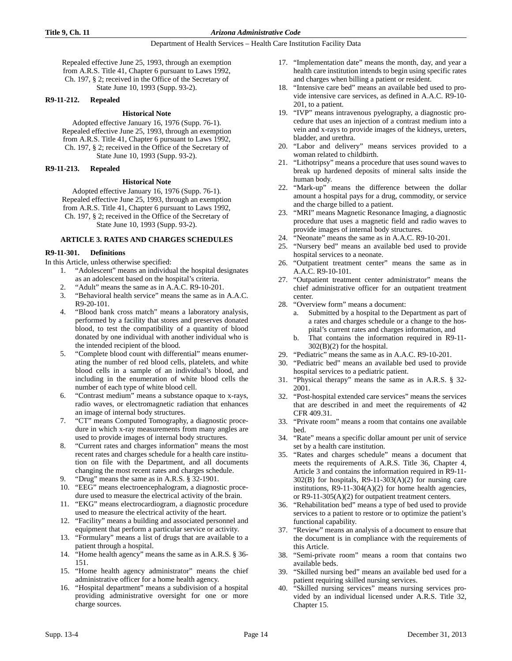Repealed effective June 25, 1993, through an exemption from A.R.S. Title 41, Chapter 6 pursuant to Laws 1992, Ch. 197, § 2; received in the Office of the Secretary of State June 10, 1993 (Supp. 93-2).

# **R9-11-212. Repealed**

#### **Historical Note**

Adopted effective January 16, 1976 (Supp. 76-1). Repealed effective June 25, 1993, through an exemption from A.R.S. Title 41, Chapter 6 pursuant to Laws 1992, Ch. 197, § 2; received in the Office of the Secretary of State June 10, 1993 (Supp. 93-2).

#### **R9-11-213. Repealed**

#### **Historical Note**

Adopted effective January 16, 1976 (Supp. 76-1). Repealed effective June 25, 1993, through an exemption from A.R.S. Title 41, Chapter 6 pursuant to Laws 1992, Ch. 197, § 2; received in the Office of the Secretary of State June 10, 1993 (Supp. 93-2).

#### **ARTICLE 3. RATES AND CHARGES SCHEDULES**

#### **R9-11-301. Definitions**

In this Article, unless otherwise specified:

- 1. "Adolescent" means an individual the hospital designates as an adolescent based on the hospital's criteria.
- 2. "Adult" means the same as in A.A.C. R9-10-201.
- 3. "Behavioral health service" means the same as in A.A.C. R9-20-101.
- 4. "Blood bank cross match" means a laboratory analysis, performed by a facility that stores and preserves donated blood, to test the compatibility of a quantity of blood donated by one individual with another individual who is the intended recipient of the blood.
- 5. "Complete blood count with differential" means enumerating the number of red blood cells, platelets, and white blood cells in a sample of an individual's blood, and including in the enumeration of white blood cells the number of each type of white blood cell.
- 6. "Contrast medium" means a substance opaque to x-rays, radio waves, or electromagnetic radiation that enhances an image of internal body structures.
- 7. "CT" means Computed Tomography, a diagnostic procedure in which x-ray measurements from many angles are used to provide images of internal body structures.
- 8. "Current rates and charges information" means the most recent rates and charges schedule for a health care institution on file with the Department, and all documents changing the most recent rates and charges schedule.
- 9. "Drug" means the same as in A.R.S. § 32-1901.
- 10. "EEG" means electroencephalogram, a diagnostic procedure used to measure the electrical activity of the brain.
- 11. "EKG" means electrocardiogram, a diagnostic procedure used to measure the electrical activity of the heart.
- 12. "Facility" means a building and associated personnel and equipment that perform a particular service or activity.
- 13. "Formulary" means a list of drugs that are available to a patient through a hospital.
- 14. "Home health agency" means the same as in A.R.S. § 36- 151.
- 15. "Home health agency administrator" means the chief administrative officer for a home health agency.
- 16. "Hospital department" means a subdivision of a hospital providing administrative oversight for one or more charge sources.
- 17. "Implementation date" means the month, day, and year a health care institution intends to begin using specific rates and charges when billing a patient or resident.
- 18. "Intensive care bed" means an available bed used to provide intensive care services, as defined in A.A.C. R9-10- 201, to a patient.
- 19. "IVP" means intravenous pyelography, a diagnostic procedure that uses an injection of a contrast medium into a vein and x-rays to provide images of the kidneys, ureters, bladder, and urethra.
- 20. "Labor and delivery" means services provided to a woman related to childbirth.
- 21. "Lithotripsy" means a procedure that uses sound waves to break up hardened deposits of mineral salts inside the human body.
- 22. "Mark-up" means the difference between the dollar amount a hospital pays for a drug, commodity, or service and the charge billed to a patient.
- 23. "MRI" means Magnetic Resonance Imaging, a diagnostic procedure that uses a magnetic field and radio waves to provide images of internal body structures.
- 24. "Neonate" means the same as in A.A.C. R9-10-201.
- 25. "Nursery bed" means an available bed used to provide hospital services to a neonate.
- 26. "Outpatient treatment center" means the same as in A.A.C. R9-10-101.
- 27. "Outpatient treatment center administrator" means the chief administrative officer for an outpatient treatment center.
- 28. "Overview form" means a document:
	- a. Submitted by a hospital to the Department as part of a rates and charges schedule or a change to the hospital's current rates and charges information, and
	- b. That contains the information required in R9-11- 302(B)(2) for the hospital.
- 29. "Pediatric" means the same as in A.A.C. R9-10-201.
- 30. "Pediatric bed" means an available bed used to provide hospital services to a pediatric patient.
- 31. "Physical therapy" means the same as in A.R.S. § 32- 2001.
- 32. "Post-hospital extended care services" means the services that are described in and meet the requirements of 42 CFR 409.31.
- 33. "Private room" means a room that contains one available bed.
- 34. "Rate" means a specific dollar amount per unit of service set by a health care institution.
- 35. "Rates and charges schedule" means a document that meets the requirements of A.R.S. Title 36, Chapter 4, Article 3 and contains the information required in R9-11-  $302(B)$  for hospitals, R9-11-303(A)(2) for nursing care institutions,  $R9-11-304(A)(2)$  for home health agencies, or R9-11-305(A)(2) for outpatient treatment centers.
- 36. "Rehabilitation bed" means a type of bed used to provide services to a patient to restore or to optimize the patient's functional capability.
- 37. "Review" means an analysis of a document to ensure that the document is in compliance with the requirements of this Article.
- 38. "Semi-private room" means a room that contains two available beds.
- 39. "Skilled nursing bed" means an available bed used for a patient requiring skilled nursing services.
- 40. "Skilled nursing services" means nursing services provided by an individual licensed under A.R.S. Title 32, Chapter 15.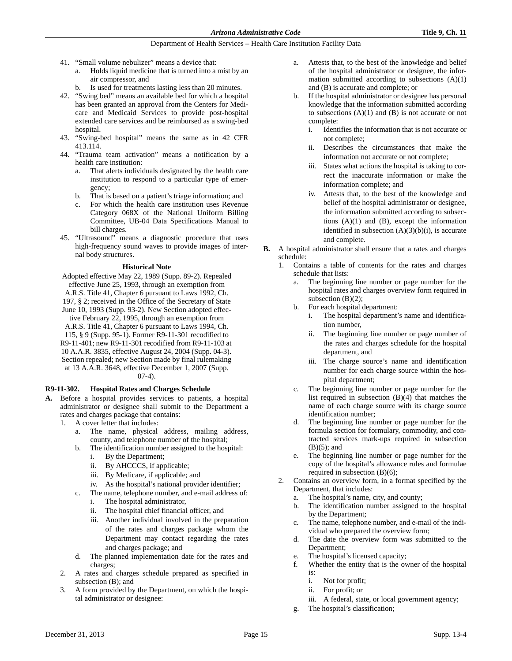- 41. "Small volume nebulizer" means a device that:
	- a. Holds liquid medicine that is turned into a mist by an air compressor, and
	- b. Is used for treatments lasting less than 20 minutes.
- 42. "Swing bed" means an available bed for which a hospital has been granted an approval from the Centers for Medicare and Medicaid Services to provide post-hospital extended care services and be reimbursed as a swing-bed hospital.
- 43. "Swing-bed hospital" means the same as in 42 CFR 413.114.
- 44. "Trauma team activation" means a notification by a health care institution:
	- a. That alerts individuals designated by the health care institution to respond to a particular type of emergency;
	- b. That is based on a patient's triage information; and
	- c. For which the health care institution uses Revenue Category 068X of the National Uniform Billing Committee, UB-04 Data Specifications Manual to bill charges.
- 45. "Ultrasound" means a diagnostic procedure that uses high-frequency sound waves to provide images of internal body structures.

# **Historical Note**

Adopted effective May 22, 1989 (Supp. 89-2). Repealed effective June 25, 1993, through an exemption from A.R.S. Title 41, Chapter 6 pursuant to Laws 1992, Ch. 197, § 2; received in the Office of the Secretary of State June 10, 1993 (Supp. 93-2). New Section adopted effective February 22, 1995, through an exemption from A.R.S. Title 41, Chapter 6 pursuant to Laws 1994, Ch. 115, § 9 (Supp. 95-1). Former R9-11-301 recodified to R9-11-401; new R9-11-301 recodified from R9-11-103 at 10 A.A.R. 3835, effective August 24, 2004 (Supp. 04-3). Section repealed; new Section made by final rulemaking at 13 A.A.R. 3648, effective December 1, 2007 (Supp. 07-4).

#### **R9-11-302. Hospital Rates and Charges Schedule**

- **A.** Before a hospital provides services to patients, a hospital administrator or designee shall submit to the Department a rates and charges package that contains:
	- 1. A cover letter that includes:
		- a. The name, physical address, mailing address, county, and telephone number of the hospital;
		- b. The identification number assigned to the hospital:
			- i. By the Department;
			- ii. By AHCCCS, if applicable;
			- iii. By Medicare, if applicable; and
			- iv. As the hospital's national provider identifier;
		- c. The name, telephone number, and e-mail address of: i. The hospital administrator,
			- ii. The hospital chief financial officer, and
			- iii. Another individual involved in the preparation of the rates and charges package whom the Department may contact regarding the rates and charges package; and
		- d. The planned implementation date for the rates and charges;
	- 2. A rates and charges schedule prepared as specified in subsection (B); and
	- 3. A form provided by the Department, on which the hospital administrator or designee:
- a. Attests that, to the best of the knowledge and belief of the hospital administrator or designee, the information submitted according to subsections  $(A)(1)$ and (B) is accurate and complete; or
- b. If the hospital administrator or designee has personal knowledge that the information submitted according to subsections  $(A)(1)$  and  $(B)$  is not accurate or not complete:
	- i. Identifies the information that is not accurate or not complete;
	- ii. Describes the circumstances that make the information not accurate or not complete;
	- iii. States what actions the hospital is taking to correct the inaccurate information or make the information complete; and
	- iv. Attests that, to the best of the knowledge and belief of the hospital administrator or designee, the information submitted according to subsections  $(A)(1)$  and  $(B)$ , except the information identified in subsection  $(A)(3)(b)(i)$ , is accurate and complete.
- **B.** A hospital administrator shall ensure that a rates and charges schedule:
	- 1. Contains a table of contents for the rates and charges schedule that lists:
		- a. The beginning line number or page number for the hospital rates and charges overview form required in subsection  $(B)(2)$ ;
		- b. For each hospital department:
			- i. The hospital department's name and identification number,
			- ii. The beginning line number or page number of the rates and charges schedule for the hospital department, and
			- iii. The charge source's name and identification number for each charge source within the hospital department;
		- c. The beginning line number or page number for the list required in subsection  $(B)(4)$  that matches the name of each charge source with its charge source identification number;
		- d. The beginning line number or page number for the formula section for formulary, commodity, and contracted services mark-ups required in subsection  $(B)(5)$ ; and
		- e. The beginning line number or page number for the copy of the hospital's allowance rules and formulae required in subsection (B)(6);
	- 2. Contains an overview form, in a format specified by the Department, that includes:
		- a. The hospital's name, city, and county;
		- b. The identification number assigned to the hospital by the Department;
		- c. The name, telephone number, and e-mail of the individual who prepared the overview form;
		- d. The date the overview form was submitted to the Department;
		- e. The hospital's licensed capacity;
		- f. Whether the entity that is the owner of the hospital is:
			- i. Not for profit;
			- ii. For profit; or
			- iii. A federal, state, or local government agency;
		- g. The hospital's classification;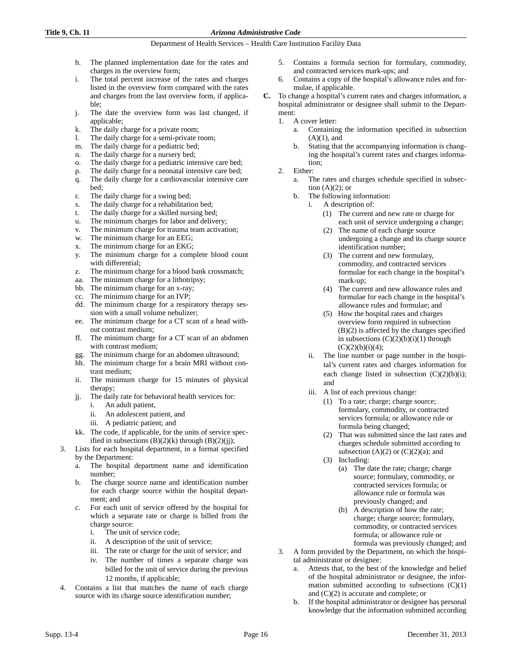- h. The planned implementation date for the rates and charges in the overview form;
- i. The total percent increase of the rates and charges listed in the overview form compared with the rates and charges from the last overview form, if applicable;
- j. The date the overview form was last changed, if applicable;
- k. The daily charge for a private room;
- l. The daily charge for a semi-private room;
- m. The daily charge for a pediatric bed;
- n. The daily charge for a nursery bed;
- o. The daily charge for a pediatric intensive care bed;
- p. The daily charge for a neonatal intensive care bed;
- q. The daily charge for a cardiovascular intensive care bed;
- r. The daily charge for a swing bed;
- s. The daily charge for a rehabilitation bed;
- t. The daily charge for a skilled nursing bed;
- u. The minimum charges for labor and delivery;
- v. The minimum charge for trauma team activation;
- w. The minimum charge for an EEG;
- x. The minimum charge for an EKG;
- y. The minimum charge for a complete blood count with differential;
- z. The minimum charge for a blood bank crossmatch;
- aa. The minimum charge for a lithotripsy;
- bb. The minimum charge for an x-ray;
- cc. The minimum charge for an IVP;
- dd. The minimum charge for a respiratory therapy session with a small volume nebulizer;
- ee. The minimum charge for a CT scan of a head without contrast medium;
- ff. The minimum charge for a CT scan of an abdomen with contrast medium;
- gg. The minimum charge for an abdomen ultrasound;
- hh. The minimum charge for a brain MRI without contrast medium;
- ii. The minimum charge for 15 minutes of physical therapy;
- jj. The daily rate for behavioral health services for:
	- i. An adult patient,
	- ii. An adolescent patient, and
	- iii. A pediatric patient; and
- kk. The code, if applicable, for the units of service specified in subsections  $(B)(2)(k)$  through  $(B)(2)(jj)$ ;
- 3. Lists for each hospital department, in a format specified by the Department:
	- a. The hospital department name and identification number;
	- b. The charge source name and identification number for each charge source within the hospital department; and
	- c. For each unit of service offered by the hospital for which a separate rate or charge is billed from the charge source:
		- i. The unit of service code;
		- ii. A description of the unit of service;
		- iii. The rate or charge for the unit of service; and
		- iv. The number of times a separate charge was billed for the unit of service during the previous 12 months, if applicable;
- 4. Contains a list that matches the name of each charge source with its charge source identification number;
- 5. Contains a formula section for formulary, commodity, and contracted services mark-ups; and
- 6. Contains a copy of the hospital's allowance rules and formulae, if applicable.
- **C.** To change a hospital's current rates and charges information, a hospital administrator or designee shall submit to the Department:
	- 1. A cover letter:
		- a. Containing the information specified in subsection  $(A)(1)$ , and
		- b. Stating that the accompanying information is changing the hospital's current rates and charges information;
	- 2. Either:
		- a. The rates and charges schedule specified in subsection  $(A)(2)$ ; or
		- b. The following information:
			- i. A description of:
				- (1) The current and new rate or charge for each unit of service undergoing a change;
				- (2) The name of each charge source undergoing a change and its charge source identification number;
				- (3) The current and new formulary, commodity, and contracted services formulae for each change in the hospital's mark-up;
				- (4) The current and new allowance rules and formulae for each change in the hospital's allowance rules and formulae; and
				- (5) How the hospital rates and charges overview form required in subsection (B)(2) is affected by the changes specified in subsections  $(C)(2)(b)(i)(1)$  through  $(C)(2)(b)(i)(4);$
			- ii. The line number or page number in the hospital's current rates and charges information for each change listed in subsection  $(C)(2)(b)(i)$ ; and
			- iii. A list of each previous change:
				- (1) To a rate; charge; charge source; formulary, commodity, or contracted services formula; or allowance rule or formula being changed;
				- (2) That was submitted since the last rates and charges schedule submitted according to subsection  $(A)(2)$  or  $(C)(2)(a)$ ; and
				- (3) Including:
					- (a) The date the rate; charge; charge source; formulary, commodity, or contracted services formula; or allowance rule or formula was previously changed; and
					- (b) A description of how the rate; charge; charge source; formulary, commodity, or contracted services formula; or allowance rule or formula was previously changed; and
	- 3. A form provided by the Department, on which the hospital administrator or designee:
		- a. Attests that, to the best of the knowledge and belief of the hospital administrator or designee, the information submitted according to subsections  $(C)(1)$ and (C)(2) is accurate and complete; or
		- b. If the hospital administrator or designee has personal knowledge that the information submitted according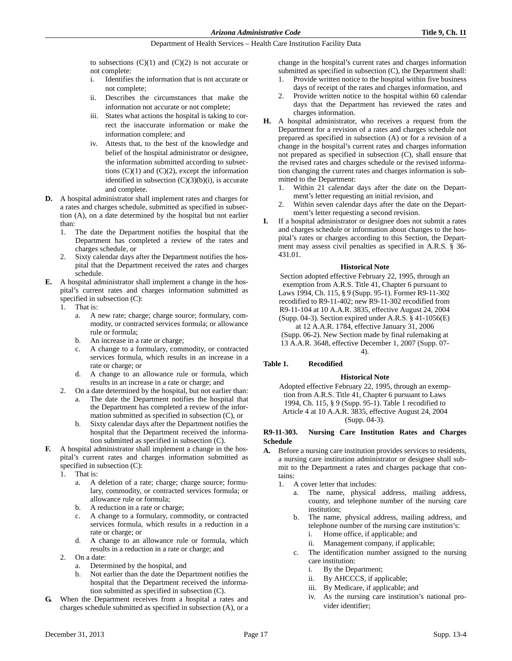to subsections  $(C)(1)$  and  $(C)(2)$  is not accurate or not complete:

- i. Identifies the information that is not accurate or not complete;
- ii. Describes the circumstances that make the information not accurate or not complete;
- iii. States what actions the hospital is taking to correct the inaccurate information or make the information complete; and
- iv. Attests that, to the best of the knowledge and belief of the hospital administrator or designee, the information submitted according to subsections  $(C)(1)$  and  $(C)(2)$ , except the information identified in subsection  $(C)(3)(b)(i)$ , is accurate and complete.
- **D.** A hospital administrator shall implement rates and charges for a rates and charges schedule, submitted as specified in subsection (A), on a date determined by the hospital but not earlier than:
	- 1. The date the Department notifies the hospital that the Department has completed a review of the rates and charges schedule, or
	- 2. Sixty calendar days after the Department notifies the hospital that the Department received the rates and charges schedule.
- **E.** A hospital administrator shall implement a change in the hospital's current rates and charges information submitted as specified in subsection (C):
	- 1. That is:
		- a. A new rate; charge; charge source; formulary, commodity, or contracted services formula; or allowance rule or formula;
		- b. An increase in a rate or charge;
		- c. A change to a formulary, commodity, or contracted services formula, which results in an increase in a rate or charge; or
		- d. A change to an allowance rule or formula, which results in an increase in a rate or charge; and
	- 2. On a date determined by the hospital, but not earlier than: a. The date the Department notifies the hospital that the Department has completed a review of the infor
		- mation submitted as specified in subsection (C), or b. Sixty calendar days after the Department notifies the hospital that the Department received the information submitted as specified in subsection (C).
- **F.** A hospital administrator shall implement a change in the hospital's current rates and charges information submitted as specified in subsection (C):
	- 1. That is:
		- a. A deletion of a rate; charge; charge source; formulary, commodity, or contracted services formula; or allowance rule or formula;
		- b. A reduction in a rate or charge;
		- c. A change to a formulary, commodity, or contracted services formula, which results in a reduction in a rate or charge; or
		- d. A change to an allowance rule or formula, which results in a reduction in a rate or charge; and
	- 2. On a date:
		- a. Determined by the hospital, and
		- b. Not earlier than the date the Department notifies the hospital that the Department received the information submitted as specified in subsection (C).
- **G.** When the Department receives from a hospital a rates and charges schedule submitted as specified in subsection (A), or a

change in the hospital's current rates and charges information submitted as specified in subsection (C), the Department shall:

- 1. Provide written notice to the hospital within five business days of receipt of the rates and charges information, and
- 2. Provide written notice to the hospital within 60 calendar days that the Department has reviewed the rates and charges information.
- **H.** A hospital administrator, who receives a request from the Department for a revision of a rates and charges schedule not prepared as specified in subsection (A) or for a revision of a change in the hospital's current rates and charges information not prepared as specified in subsection (C), shall ensure that the revised rates and charges schedule or the revised information changing the current rates and charges information is submitted to the Department:
	- 1. Within 21 calendar days after the date on the Department's letter requesting an initial revision, and
	- Within seven calendar days after the date on the Department's letter requesting a second revision.
- **I.** If a hospital administrator or designee does not submit a rates and charges schedule or information about changes to the hospital's rates or charges according to this Section, the Department may assess civil penalties as specified in A.R.S. § 36- 431.01.

# **Historical Note**

Section adopted effective February 22, 1995, through an exemption from A.R.S. Title 41, Chapter 6 pursuant to Laws 1994, Ch. 115, § 9 (Supp. 95-1). Former R9-11-302 recodified to R9-11-402; new R9-11-302 recodified from R9-11-104 at 10 A.A.R. 3835, effective August 24, 2004 (Supp. 04-3). Section expired under A.R.S. § 41-1056(E) at 12 A.A.R. 1784, effective January 31, 2006 (Supp. 06-2). New Section made by final rulemaking at 13 A.A.R. 3648, effective December 1, 2007 (Supp. 07-

4).

# **Table 1. Recodified**

# **Historical Note**

Adopted effective February 22, 1995, through an exemption from A.R.S. Title 41, Chapter 6 pursuant to Laws 1994, Ch. 115, § 9 (Supp. 95-1). Table 1 recodified to Article 4 at 10 A.A.R. 3835, effective August 24, 2004 (Supp. 04-3).

# **R9-11-303. Nursing Care Institution Rates and Charges Schedule**

- **A.** Before a nursing care institution provides services to residents, a nursing care institution administrator or designee shall submit to the Department a rates and charges package that contains:
	- 1. A cover letter that includes:
		- a. The name, physical address, mailing address, county, and telephone number of the nursing care institution;
		- b. The name, physical address, mailing address, and telephone number of the nursing care institution's:
			- i. Home office, if applicable; and
			- ii. Management company, if applicable;
		- c. The identification number assigned to the nursing care institution:
			- i. By the Department;
			- ii. By AHCCCS, if applicable;
			- iii. By Medicare, if applicable; and
			- iv. As the nursing care institution's national provider identifier;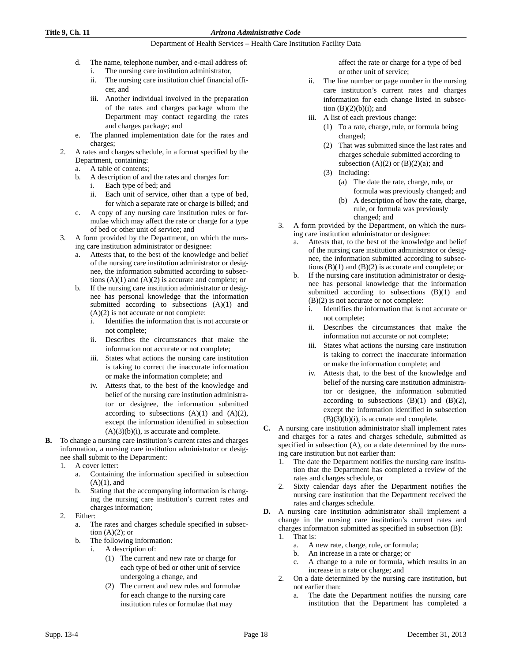## **Title 9, Ch. 11** *Arizona Administrative Code*

## Department of Health Services – Health Care Institution Facility Data

- d. The name, telephone number, and e-mail address of:
	- i. The nursing care institution administrator,
	- ii. The nursing care institution chief financial officer, and
	- iii. Another individual involved in the preparation of the rates and charges package whom the Department may contact regarding the rates and charges package; and
- e. The planned implementation date for the rates and charges;
- 2. A rates and charges schedule, in a format specified by the Department, containing:
	- a. A table of contents;
	- b. A description of and the rates and charges for:
		- i. Each type of bed; and
			- ii. Each unit of service, other than a type of bed, for which a separate rate or charge is billed; and
	- c. A copy of any nursing care institution rules or formulae which may affect the rate or charge for a type of bed or other unit of service; and
- 3. A form provided by the Department, on which the nursing care institution administrator or designee:
	- a. Attests that, to the best of the knowledge and belief of the nursing care institution administrator or designee, the information submitted according to subsections  $(A)(1)$  and  $(A)(2)$  is accurate and complete; or
	- b. If the nursing care institution administrator or designee has personal knowledge that the information submitted according to subsections  $(A)(1)$  and (A)(2) is not accurate or not complete:
		- i. Identifies the information that is not accurate or not complete;
		- ii. Describes the circumstances that make the information not accurate or not complete;
		- iii. States what actions the nursing care institution is taking to correct the inaccurate information or make the information complete; and
		- iv. Attests that, to the best of the knowledge and belief of the nursing care institution administrator or designee, the information submitted according to subsections  $(A)(1)$  and  $(A)(2)$ , except the information identified in subsection  $(A)(3)(b)(i)$ , is accurate and complete.
- **B.** To change a nursing care institution's current rates and charges information, a nursing care institution administrator or designee shall submit to the Department:
	- 1. A cover letter:
		- a. Containing the information specified in subsection  $(A)(1)$ , and
		- b. Stating that the accompanying information is changing the nursing care institution's current rates and charges information;
	- 2. Either:
		- a. The rates and charges schedule specified in subsection  $(A)(2)$ ; or
		- b. The following information:
			- i. A description of:
				- (1) The current and new rate or charge for each type of bed or other unit of service undergoing a change, and
				- (2) The current and new rules and formulae for each change to the nursing care institution rules or formulae that may

affect the rate or charge for a type of bed or other unit of service;

- ii. The line number or page number in the nursing care institution's current rates and charges information for each change listed in subsection  $(B)(2)(b)(i)$ ; and
- iii. A list of each previous change:
	- (1) To a rate, charge, rule, or formula being changed;
	- (2) That was submitted since the last rates and charges schedule submitted according to subsection  $(A)(2)$  or  $(B)(2)(a)$ ; and
	- (3) Including:
		- (a) The date the rate, charge, rule, or formula was previously changed; and
		- (b) A description of how the rate, charge, rule, or formula was previously changed; and
- 3. A form provided by the Department, on which the nursing care institution administrator or designee:
	- a. Attests that, to the best of the knowledge and belief of the nursing care institution administrator or designee, the information submitted according to subsections  $(B)(1)$  and  $(B)(2)$  is accurate and complete; or
	- b. If the nursing care institution administrator or designee has personal knowledge that the information submitted according to subsections (B)(1) and (B)(2) is not accurate or not complete:
		- i. Identifies the information that is not accurate or not complete;
		- ii. Describes the circumstances that make the information not accurate or not complete;
		- iii. States what actions the nursing care institution is taking to correct the inaccurate information or make the information complete; and
		- iv. Attests that, to the best of the knowledge and belief of the nursing care institution administrator or designee, the information submitted according to subsections  $(B)(1)$  and  $(B)(2)$ , except the information identified in subsection  $(B)(3)(b)(i)$ , is accurate and complete.
- **C.** A nursing care institution administrator shall implement rates and charges for a rates and charges schedule, submitted as specified in subsection (A), on a date determined by the nursing care institution but not earlier than:
	- 1. The date the Department notifies the nursing care institution that the Department has completed a review of the rates and charges schedule, or
	- 2. Sixty calendar days after the Department notifies the nursing care institution that the Department received the rates and charges schedule.
- **D.** A nursing care institution administrator shall implement a change in the nursing care institution's current rates and charges information submitted as specified in subsection (B): 1. That is:
	- a. A new rate, charge, rule, or formula;
	- b. An increase in a rate or charge; or
	- c. A change to a rule or formula, which results in an increase in a rate or charge; and
	- 2. On a date determined by the nursing care institution, but not earlier than:
		- a. The date the Department notifies the nursing care institution that the Department has completed a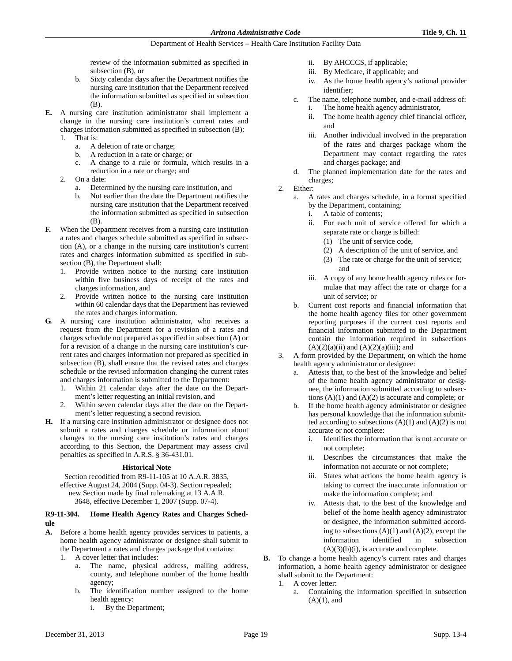review of the information submitted as specified in subsection (B), or

- b. Sixty calendar days after the Department notifies the nursing care institution that the Department received the information submitted as specified in subsection (B).
- **E.** A nursing care institution administrator shall implement a change in the nursing care institution's current rates and charges information submitted as specified in subsection (B): 1. That is:
	- a. A deletion of rate or charge;
	- b. A reduction in a rate or charge; or
	- c. A change to a rule or formula, which results in a reduction in a rate or charge; and
	- 2. On a date:
		- a. Determined by the nursing care institution, and
		- b. Not earlier than the date the Department notifies the nursing care institution that the Department received the information submitted as specified in subsection (B).
- **F.** When the Department receives from a nursing care institution a rates and charges schedule submitted as specified in subsection (A), or a change in the nursing care institution's current rates and charges information submitted as specified in subsection (B), the Department shall:
	- 1. Provide written notice to the nursing care institution within five business days of receipt of the rates and charges information, and
	- 2. Provide written notice to the nursing care institution within 60 calendar days that the Department has reviewed the rates and charges information.
- **G.** A nursing care institution administrator, who receives a request from the Department for a revision of a rates and charges schedule not prepared as specified in subsection (A) or for a revision of a change in the nursing care institution's current rates and charges information not prepared as specified in subsection (B), shall ensure that the revised rates and charges schedule or the revised information changing the current rates and charges information is submitted to the Department:
	- 1. Within 21 calendar days after the date on the Department's letter requesting an initial revision, and
	- Within seven calendar days after the date on the Department's letter requesting a second revision.
- **H.** If a nursing care institution administrator or designee does not submit a rates and charges schedule or information about changes to the nursing care institution's rates and charges according to this Section, the Department may assess civil penalties as specified in A.R.S. § 36-431.01.

#### **Historical Note**

Section recodified from R9-11-105 at 10 A.A.R. 3835, effective August 24, 2004 (Supp. 04-3). Section repealed; new Section made by final rulemaking at 13 A.A.R. 3648, effective December 1, 2007 (Supp. 07-4).

# **R9-11-304. Home Health Agency Rates and Charges Schedule**

- **A.** Before a home health agency provides services to patients, a home health agency administrator or designee shall submit to the Department a rates and charges package that contains:
	- 1. A cover letter that includes:
		- a. The name, physical address, mailing address, county, and telephone number of the home health agency;
		- b. The identification number assigned to the home health agency:
			- i. By the Department;
- ii. By AHCCCS, if applicable;
- iii. By Medicare, if applicable; and
- iv. As the home health agency's national provider identifier;
- c. The name, telephone number, and e-mail address of: i. The home health agency administrator,
	- ii. The home health agency chief financial officer, and
	- iii. Another individual involved in the preparation of the rates and charges package whom the Department may contact regarding the rates and charges package; and
- d. The planned implementation date for the rates and charges;
- 2. Either:
	- a. A rates and charges schedule, in a format specified by the Department, containing:
		- i. A table of contents;
		- ii. For each unit of service offered for which a separate rate or charge is billed:
			- (1) The unit of service code,
			- (2) A description of the unit of service, and
			- (3) The rate or charge for the unit of service; and
		- iii. A copy of any home health agency rules or formulae that may affect the rate or charge for a unit of service; or
	- b. Current cost reports and financial information that the home health agency files for other government reporting purposes if the current cost reports and financial information submitted to the Department contain the information required in subsections  $(A)(2)(a)(ii)$  and  $(A)(2)(a)(iii)$ ; and
- 3. A form provided by the Department, on which the home health agency administrator or designee:
	- a. Attests that, to the best of the knowledge and belief of the home health agency administrator or designee, the information submitted according to subsections  $(A)(1)$  and  $(A)(2)$  is accurate and complete; or
	- b. If the home health agency administrator or designee has personal knowledge that the information submitted according to subsections  $(A)(1)$  and  $(A)(2)$  is not accurate or not complete:
		- i. Identifies the information that is not accurate or not complete;
		- ii. Describes the circumstances that make the information not accurate or not complete;
		- iii. States what actions the home health agency is taking to correct the inaccurate information or make the information complete; and
		- iv. Attests that, to the best of the knowledge and belief of the home health agency administrator or designee, the information submitted according to subsections  $(A)(1)$  and  $(A)(2)$ , except the information identified in subsection  $(A)(3)(b)(i)$ , is accurate and complete.
- **B.** To change a home health agency's current rates and charges information, a home health agency administrator or designee shall submit to the Department:
	- 1. A cover letter:
		- a. Containing the information specified in subsection  $(A)(1)$ , and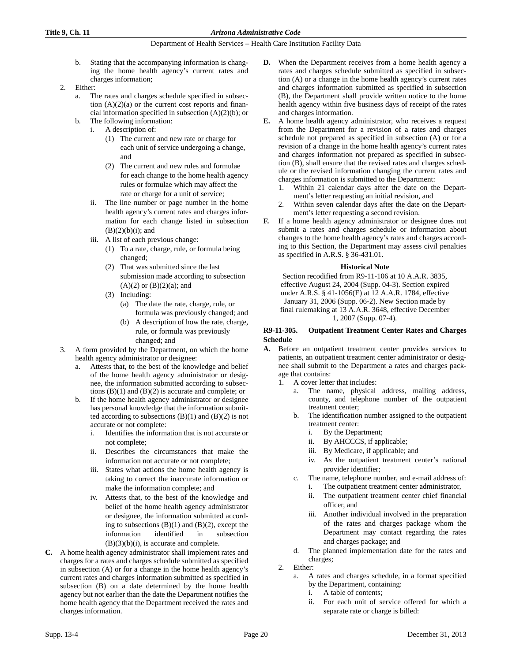- b. Stating that the accompanying information is changing the home health agency's current rates and charges information;
- 2. Either:
	- a. The rates and charges schedule specified in subsection  $(A)(2)(a)$  or the current cost reports and financial information specified in subsection (A)(2)(b); or
	- b. The following information:
		- i. A description of:
			- (1) The current and new rate or charge for each unit of service undergoing a change, and
			- (2) The current and new rules and formulae for each change to the home health agency rules or formulae which may affect the rate or charge for a unit of service;
		- ii. The line number or page number in the home health agency's current rates and charges information for each change listed in subsection  $(B)(2)(b)(i)$ ; and
		- iii. A list of each previous change:
			- (1) To a rate, charge, rule, or formula being changed;
			- (2) That was submitted since the last submission made according to subsection  $(A)(2)$  or  $(B)(2)(a)$ ; and
			- (3) Including:
				- (a) The date the rate, charge, rule, or formula was previously changed; and
				- (b) A description of how the rate, charge, rule, or formula was previously changed; and
- 3. A form provided by the Department, on which the home health agency administrator or designee:
	- a. Attests that, to the best of the knowledge and belief of the home health agency administrator or designee, the information submitted according to subsections  $(B)(1)$  and  $(B)(2)$  is accurate and complete; or
	- b. If the home health agency administrator or designee has personal knowledge that the information submitted according to subsections  $(B)(1)$  and  $(B)(2)$  is not accurate or not complete:
		- i. Identifies the information that is not accurate or not complete;
		- ii. Describes the circumstances that make the information not accurate or not complete;
		- iii. States what actions the home health agency is taking to correct the inaccurate information or make the information complete; and
		- iv. Attests that, to the best of the knowledge and belief of the home health agency administrator or designee, the information submitted according to subsections  $(B)(1)$  and  $(B)(2)$ , except the information identified in subsection  $(B)(3)(b)(i)$ , is accurate and complete.
- **C.** A home health agency administrator shall implement rates and charges for a rates and charges schedule submitted as specified in subsection (A) or for a change in the home health agency's current rates and charges information submitted as specified in subsection (B) on a date determined by the home health agency but not earlier than the date the Department notifies the home health agency that the Department received the rates and charges information.
- **D.** When the Department receives from a home health agency a rates and charges schedule submitted as specified in subsection (A) or a change in the home health agency's current rates and charges information submitted as specified in subsection (B), the Department shall provide written notice to the home health agency within five business days of receipt of the rates and charges information.
- **E.** A home health agency administrator, who receives a request from the Department for a revision of a rates and charges schedule not prepared as specified in subsection (A) or for a revision of a change in the home health agency's current rates and charges information not prepared as specified in subsection (B), shall ensure that the revised rates and charges schedule or the revised information changing the current rates and charges information is submitted to the Department:
	- 1. Within 21 calendar days after the date on the Department's letter requesting an initial revision, and
	- Within seven calendar days after the date on the Department's letter requesting a second revision.
- **F.** If a home health agency administrator or designee does not submit a rates and charges schedule or information about changes to the home health agency's rates and charges according to this Section, the Department may assess civil penalties as specified in A.R.S. § 36-431.01.

# **Historical Note**

Section recodified from R9-11-106 at 10 A.A.R. 3835, effective August 24, 2004 (Supp. 04-3). Section expired under A.R.S. § 41-1056(E) at 12 A.A.R. 1784, effective January 31, 2006 (Supp. 06-2). New Section made by final rulemaking at 13 A.A.R. 3648, effective December 1, 2007 (Supp. 07-4).

# **R9-11-305. Outpatient Treatment Center Rates and Charges Schedule**

- **A.** Before an outpatient treatment center provides services to patients, an outpatient treatment center administrator or designee shall submit to the Department a rates and charges package that contains:
	- 1. A cover letter that includes:
		- a. The name, physical address, mailing address, county, and telephone number of the outpatient treatment center;
		- b. The identification number assigned to the outpatient treatment center:
			- i. By the Department;
			- ii. By AHCCCS, if applicable;
			- iii. By Medicare, if applicable; and
			- iv. As the outpatient treatment center's national provider identifier;
		- c. The name, telephone number, and e-mail address of:
			- i. The outpatient treatment center administrator,
			- ii. The outpatient treatment center chief financial officer, and
			- iii. Another individual involved in the preparation of the rates and charges package whom the Department may contact regarding the rates and charges package; and
		- d. The planned implementation date for the rates and charges;
	- 2. Either:
		- a. A rates and charges schedule, in a format specified by the Department, containing:
			- i. A table of contents;
			- ii. For each unit of service offered for which a separate rate or charge is billed: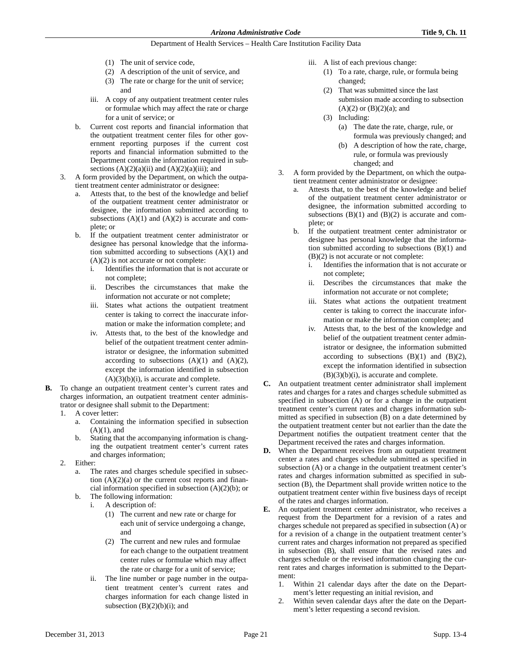- (1) The unit of service code,
- (2) A description of the unit of service, and
- (3) The rate or charge for the unit of service; and
- iii. A copy of any outpatient treatment center rules or formulae which may affect the rate or charge for a unit of service; or
- b. Current cost reports and financial information that the outpatient treatment center files for other government reporting purposes if the current cost reports and financial information submitted to the Department contain the information required in subsections  $(A)(2)(a)(ii)$  and  $(A)(2)(a)(iii)$ ; and
- 3. A form provided by the Department, on which the outpatient treatment center administrator or designee:
	- Attests that, to the best of the knowledge and belief of the outpatient treatment center administrator or designee, the information submitted according to subsections  $(A)(1)$  and  $(A)(2)$  is accurate and complete; or
	- b. If the outpatient treatment center administrator or designee has personal knowledge that the information submitted according to subsections (A)(1) and (A)(2) is not accurate or not complete:
		- i. Identifies the information that is not accurate or not complete;
		- ii. Describes the circumstances that make the information not accurate or not complete;
		- iii. States what actions the outpatient treatment center is taking to correct the inaccurate information or make the information complete; and
		- iv. Attests that, to the best of the knowledge and belief of the outpatient treatment center administrator or designee, the information submitted according to subsections  $(A)(1)$  and  $(A)(2)$ , except the information identified in subsection  $(A)(3)(b)(i)$ , is accurate and complete.
- **B.** To change an outpatient treatment center's current rates and charges information, an outpatient treatment center administrator or designee shall submit to the Department:
	- 1. A cover letter:
		- a. Containing the information specified in subsection  $(A)(1)$ , and
		- b. Stating that the accompanying information is changing the outpatient treatment center's current rates and charges information;
	- 2. Either:
		- a. The rates and charges schedule specified in subsection  $(A)(2)(a)$  or the current cost reports and financial information specified in subsection  $(A)(2)(b)$ ; or
		- b. The following information:
			- i. A description of:
				- (1) The current and new rate or charge for each unit of service undergoing a change, and
				- (2) The current and new rules and formulae for each change to the outpatient treatment center rules or formulae which may affect the rate or charge for a unit of service;
				- ii. The line number or page number in the outpatient treatment center's current rates and charges information for each change listed in subsection  $(B)(2)(b)(i)$ ; and
- iii. A list of each previous change:
	- (1) To a rate, charge, rule, or formula being changed;
	- (2) That was submitted since the last submission made according to subsection  $(A)(2)$  or  $(B)(2)(a)$ ; and
	- (3) Including:
		- (a) The date the rate, charge, rule, or formula was previously changed; and
		- (b) A description of how the rate, charge, rule, or formula was previously changed; and
- 3. A form provided by the Department, on which the outpatient treatment center administrator or designee:
	- a. Attests that, to the best of the knowledge and belief of the outpatient treatment center administrator or designee, the information submitted according to subsections  $(B)(1)$  and  $(B)(2)$  is accurate and complete; or
	- b. If the outpatient treatment center administrator or designee has personal knowledge that the information submitted according to subsections (B)(1) and (B)(2) is not accurate or not complete:
		- i. Identifies the information that is not accurate or not complete;
		- ii. Describes the circumstances that make the information not accurate or not complete;
		- iii. States what actions the outpatient treatment center is taking to correct the inaccurate information or make the information complete; and
		- iv. Attests that, to the best of the knowledge and belief of the outpatient treatment center administrator or designee, the information submitted according to subsections  $(B)(1)$  and  $(B)(2)$ , except the information identified in subsection  $(B)(3)(b)(i)$ , is accurate and complete.
- **C.** An outpatient treatment center administrator shall implement rates and charges for a rates and charges schedule submitted as specified in subsection (A) or for a change in the outpatient treatment center's current rates and charges information submitted as specified in subsection (B) on a date determined by the outpatient treatment center but not earlier than the date the Department notifies the outpatient treatment center that the Department received the rates and charges information.
- **D.** When the Department receives from an outpatient treatment center a rates and charges schedule submitted as specified in subsection (A) or a change in the outpatient treatment center's rates and charges information submitted as specified in subsection (B), the Department shall provide written notice to the outpatient treatment center within five business days of receipt of the rates and charges information.
- **E.** An outpatient treatment center administrator, who receives a request from the Department for a revision of a rates and charges schedule not prepared as specified in subsection (A) or for a revision of a change in the outpatient treatment center's current rates and charges information not prepared as specified in subsection (B), shall ensure that the revised rates and charges schedule or the revised information changing the current rates and charges information is submitted to the Department:
	- 1. Within 21 calendar days after the date on the Department's letter requesting an initial revision, and
	- 2. Within seven calendar days after the date on the Department's letter requesting a second revision.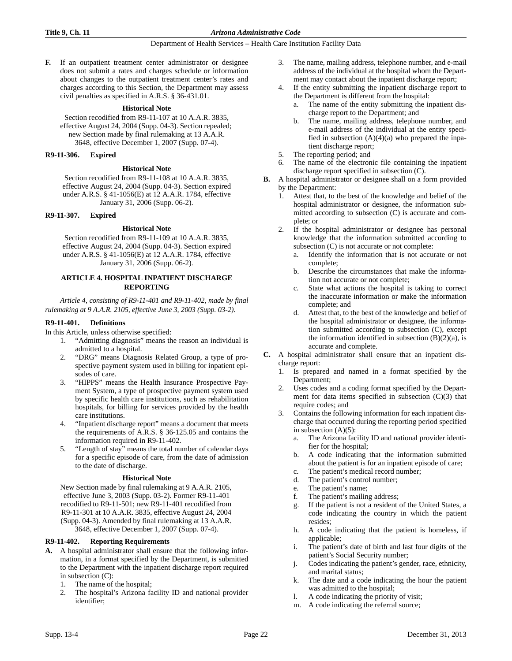**F.** If an outpatient treatment center administrator or designee does not submit a rates and charges schedule or information about changes to the outpatient treatment center's rates and charges according to this Section, the Department may assess civil penalties as specified in A.R.S. § 36-431.01.

#### **Historical Note**

Section recodified from R9-11-107 at 10 A.A.R. 3835, effective August 24, 2004 (Supp. 04-3). Section repealed; new Section made by final rulemaking at 13 A.A.R. 3648, effective December 1, 2007 (Supp. 07-4).

#### **R9-11-306. Expired**

#### **Historical Note**

Section recodified from R9-11-108 at 10 A.A.R. 3835, effective August 24, 2004 (Supp. 04-3). Section expired under A.R.S. § 41-1056(E) at 12 A.A.R. 1784, effective January 31, 2006 (Supp. 06-2).

#### **R9-11-307. Expired**

#### **Historical Note**

Section recodified from R9-11-109 at 10 A.A.R. 3835, effective August 24, 2004 (Supp. 04-3). Section expired under A.R.S. § 41-1056(E) at 12 A.A.R. 1784, effective January 31, 2006 (Supp. 06-2).

## **ARTICLE 4. HOSPITAL INPATIENT DISCHARGE REPORTING**

*Article 4, consisting of R9-11-401 and R9-11-402, made by final rulemaking at 9 A.A.R. 2105, effective June 3, 2003 (Supp. 03-2).*

#### **R9-11-401. Definitions**

In this Article, unless otherwise specified:

- 1. "Admitting diagnosis" means the reason an individual is admitted to a hospital.
- 2. "DRG" means Diagnosis Related Group, a type of prospective payment system used in billing for inpatient episodes of care.
- 3. "HIPPS" means the Health Insurance Prospective Payment System, a type of prospective payment system used by specific health care institutions, such as rehabilitation hospitals, for billing for services provided by the health care institutions.
- 4. "Inpatient discharge report" means a document that meets the requirements of A.R.S. § 36-125.05 and contains the information required in R9-11-402.
- 5. "Length of stay" means the total number of calendar days for a specific episode of care, from the date of admission to the date of discharge.

#### **Historical Note**

New Section made by final rulemaking at 9 A.A.R. 2105, effective June 3, 2003 (Supp. 03-2). Former R9-11-401 recodified to R9-11-501; new R9-11-401 recodified from R9-11-301 at 10 A.A.R. 3835, effective August 24, 2004 (Supp. 04-3). Amended by final rulemaking at 13 A.A.R. 3648, effective December 1, 2007 (Supp. 07-4).

#### **R9-11-402. Reporting Requirements**

- **A.** A hospital administrator shall ensure that the following information, in a format specified by the Department, is submitted to the Department with the inpatient discharge report required in subsection (C):
	- 1. The name of the hospital;
	- 2. The hospital's Arizona facility ID and national provider identifier;
- 3. The name, mailing address, telephone number, and e-mail address of the individual at the hospital whom the Department may contact about the inpatient discharge report;
- If the entity submitting the inpatient discharge report to the Department is different from the hospital:
	- a. The name of the entity submitting the inpatient discharge report to the Department; and
	- b. The name, mailing address, telephone number, and e-mail address of the individual at the entity specified in subsection  $(A)(4)(a)$  who prepared the inpatient discharge report;
- 5. The reporting period; and
- The name of the electronic file containing the inpatient discharge report specified in subsection (C).
- **B.** A hospital administrator or designee shall on a form provided by the Department:
	- 1. Attest that, to the best of the knowledge and belief of the hospital administrator or designee, the information submitted according to subsection (C) is accurate and complete; or
	- 2. If the hospital administrator or designee has personal knowledge that the information submitted according to subsection (C) is not accurate or not complete:
		- a. Identify the information that is not accurate or not complete;
		- b. Describe the circumstances that make the information not accurate or not complete;
		- c. State what actions the hospital is taking to correct the inaccurate information or make the information complete; and
		- d. Attest that, to the best of the knowledge and belief of the hospital administrator or designee, the information submitted according to subsection (C), except the information identified in subsection  $(B)(2)(a)$ , is accurate and complete.
- **C.** A hospital administrator shall ensure that an inpatient discharge report:
	- 1. Is prepared and named in a format specified by the Department;
	- 2. Uses codes and a coding format specified by the Department for data items specified in subsection (C)(3) that require codes; and
	- 3. Contains the following information for each inpatient discharge that occurred during the reporting period specified in subsection (A)(5):
		- a. The Arizona facility ID and national provider identifier for the hospital;
		- b. A code indicating that the information submitted about the patient is for an inpatient episode of care;
		- c. The patient's medical record number;
		- d. The patient's control number;
		- e. The patient's name;
		- f. The patient's mailing address;
		- g. If the patient is not a resident of the United States, a code indicating the country in which the patient resides;
		- h. A code indicating that the patient is homeless, if applicable;
		- i. The patient's date of birth and last four digits of the patient's Social Security number;
		- j. Codes indicating the patient's gender, race, ethnicity, and marital status;
		- k. The date and a code indicating the hour the patient was admitted to the hospital;
		- l. A code indicating the priority of visit;
		- m. A code indicating the referral source;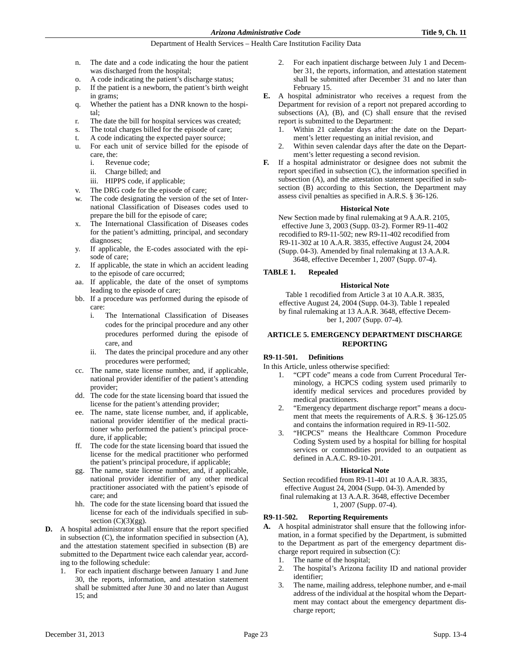- n. The date and a code indicating the hour the patient was discharged from the hospital;
- o. A code indicating the patient's discharge status;
- p. If the patient is a newborn, the patient's birth weight in grams;
- q. Whether the patient has a DNR known to the hospital;
- r. The date the bill for hospital services was created;
- s. The total charges billed for the episode of care;
- t. A code indicating the expected payer source;
- u. For each unit of service billed for the episode of care, the:
	- i. Revenue code;
	- ii. Charge billed; and
	- iii. HIPPS code, if applicable;
- v. The DRG code for the episode of care;
- w. The code designating the version of the set of International Classification of Diseases codes used to prepare the bill for the episode of care;
- x. The International Classification of Diseases codes for the patient's admitting, principal, and secondary diagnoses;
- y. If applicable, the E-codes associated with the episode of care;
- z. If applicable, the state in which an accident leading to the episode of care occurred;
- aa. If applicable, the date of the onset of symptoms leading to the episode of care;
- bb. If a procedure was performed during the episode of care:
	- i. The International Classification of Diseases codes for the principal procedure and any other procedures performed during the episode of care, and
	- ii. The dates the principal procedure and any other procedures were performed;
- cc. The name, state license number, and, if applicable, national provider identifier of the patient's attending provider;
- dd. The code for the state licensing board that issued the license for the patient's attending provider;
- ee. The name, state license number, and, if applicable, national provider identifier of the medical practitioner who performed the patient's principal procedure, if applicable;
- ff. The code for the state licensing board that issued the license for the medical practitioner who performed the patient's principal procedure, if applicable;
- gg. The name, state license number, and, if applicable, national provider identifier of any other medical practitioner associated with the patient's episode of care; and
- hh. The code for the state licensing board that issued the license for each of the individuals specified in subsection  $(C)(3)(gg)$ .
- **D.** A hospital administrator shall ensure that the report specified in subsection (C), the information specified in subsection (A), and the attestation statement specified in subsection (B) are submitted to the Department twice each calendar year, according to the following schedule:
	- 1. For each inpatient discharge between January 1 and June 30, the reports, information, and attestation statement shall be submitted after June 30 and no later than August 15; and
- 2. For each inpatient discharge between July 1 and December 31, the reports, information, and attestation statement shall be submitted after December 31 and no later than February 15.
- **E.** A hospital administrator who receives a request from the Department for revision of a report not prepared according to subsections  $(A)$ ,  $(B)$ , and  $(C)$  shall ensure that the revised report is submitted to the Department:
	- 1. Within 21 calendar days after the date on the Department's letter requesting an initial revision, and
	- 2. Within seven calendar days after the date on the Department's letter requesting a second revision.
- **F.** If a hospital administrator or designee does not submit the report specified in subsection (C), the information specified in subsection (A), and the attestation statement specified in subsection (B) according to this Section, the Department may assess civil penalties as specified in A.R.S. § 36-126.

# **Historical Note**

New Section made by final rulemaking at 9 A.A.R. 2105, effective June 3, 2003 (Supp. 03-2). Former R9-11-402 recodified to R9-11-502; new R9-11-402 recodified from R9-11-302 at 10 A.A.R. 3835, effective August 24, 2004 (Supp. 04-3). Amended by final rulemaking at 13 A.A.R. 3648, effective December 1, 2007 (Supp. 07-4).

# **TABLE 1. Repealed**

# **Historical Note**

Table 1 recodified from Article 3 at 10 A.A.R. 3835, effective August 24, 2004 (Supp. 04-3). Table 1 repealed by final rulemaking at 13 A.A.R. 3648, effective December 1, 2007 (Supp. 07-4).

# **ARTICLE 5. EMERGENCY DEPARTMENT DISCHARGE REPORTING**

# **R9-11-501. Definitions**

In this Article, unless otherwise specified:

- 1. "CPT code" means a code from Current Procedural Terminology, a HCPCS coding system used primarily to identify medical services and procedures provided by medical practitioners.
- 2. "Emergency department discharge report" means a document that meets the requirements of A.R.S. § 36-125.05 and contains the information required in R9-11-502.
- 3. "HCPCS" means the Healthcare Common Procedure Coding System used by a hospital for billing for hospital services or commodities provided to an outpatient as defined in A.A.C. R9-10-201.

#### **Historical Note**

Section recodified from R9-11-401 at 10 A.A.R. 3835, effective August 24, 2004 (Supp. 04-3). Amended by final rulemaking at 13 A.A.R. 3648, effective December 1, 2007 (Supp. 07-4).

# **R9-11-502. Reporting Requirements**

- **A.** A hospital administrator shall ensure that the following information, in a format specified by the Department, is submitted to the Department as part of the emergency department discharge report required in subsection (C):
	- 1. The name of the hospital;
	- 2. The hospital's Arizona facility ID and national provider identifier;
	- 3. The name, mailing address, telephone number, and e-mail address of the individual at the hospital whom the Department may contact about the emergency department discharge report;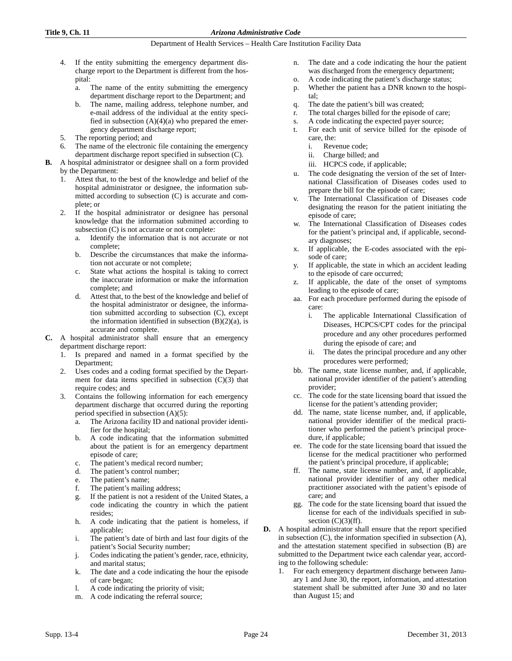- 4. If the entity submitting the emergency department discharge report to the Department is different from the hospital:
	- a. The name of the entity submitting the emergency department discharge report to the Department; and
	- b. The name, mailing address, telephone number, and e-mail address of the individual at the entity specified in subsection  $(A)(4)(a)$  who prepared the emergency department discharge report;
- 5. The reporting period; and
- 6. The name of the electronic file containing the emergency department discharge report specified in subsection (C).
- **B.** A hospital administrator or designee shall on a form provided by the Department:
	- 1. Attest that, to the best of the knowledge and belief of the hospital administrator or designee, the information submitted according to subsection (C) is accurate and complete; or
	- 2. If the hospital administrator or designee has personal knowledge that the information submitted according to subsection (C) is not accurate or not complete:
		- a. Identify the information that is not accurate or not complete;
		- b. Describe the circumstances that make the information not accurate or not complete;
		- c. State what actions the hospital is taking to correct the inaccurate information or make the information complete; and
		- d. Attest that, to the best of the knowledge and belief of the hospital administrator or designee, the information submitted according to subsection (C), except the information identified in subsection  $(B)(2)(a)$ , is accurate and complete.
- **C.** A hospital administrator shall ensure that an emergency department discharge report:
	- 1. Is prepared and named in a format specified by the Department;
	- 2. Uses codes and a coding format specified by the Department for data items specified in subsection (C)(3) that require codes; and
	- 3. Contains the following information for each emergency department discharge that occurred during the reporting period specified in subsection (A)(5):
		- a. The Arizona facility ID and national provider identifier for the hospital;
		- b. A code indicating that the information submitted about the patient is for an emergency department episode of care;
		- c. The patient's medical record number;
		- d. The patient's control number;
		- e. The patient's name;
		- f. The patient's mailing address;
		- g. If the patient is not a resident of the United States, a code indicating the country in which the patient resides;
		- h. A code indicating that the patient is homeless, if applicable;
		- i. The patient's date of birth and last four digits of the patient's Social Security number;
		- j. Codes indicating the patient's gender, race, ethnicity, and marital status;
		- k. The date and a code indicating the hour the episode of care began;
		- l. A code indicating the priority of visit;
		- m. A code indicating the referral source;
- n. The date and a code indicating the hour the patient was discharged from the emergency department;
- o. A code indicating the patient's discharge status;
- p. Whether the patient has a DNR known to the hospital;
- q. The date the patient's bill was created;
- r. The total charges billed for the episode of care;
- s. A code indicating the expected payer source;
- t. For each unit of service billed for the episode of care, the:
	- i. Revenue code;
	- ii. Charge billed; and
	- iii. HCPCS code, if applicable;
- u. The code designating the version of the set of International Classification of Diseases codes used to prepare the bill for the episode of care;
- v. The International Classification of Diseases code designating the reason for the patient initiating the episode of care;
- w. The International Classification of Diseases codes for the patient's principal and, if applicable, secondary diagnoses;
- x. If applicable, the E-codes associated with the episode of care;
- y. If applicable, the state in which an accident leading to the episode of care occurred;
- z. If applicable, the date of the onset of symptoms leading to the episode of care;
- aa. For each procedure performed during the episode of care:
	- i. The applicable International Classification of Diseases, HCPCS/CPT codes for the principal procedure and any other procedures performed during the episode of care; and
	- ii. The dates the principal procedure and any other procedures were performed;
- bb. The name, state license number, and, if applicable, national provider identifier of the patient's attending provider;
- cc. The code for the state licensing board that issued the license for the patient's attending provider;
- dd. The name, state license number, and, if applicable, national provider identifier of the medical practitioner who performed the patient's principal procedure, if applicable;
- ee. The code for the state licensing board that issued the license for the medical practitioner who performed the patient's principal procedure, if applicable;
- ff. The name, state license number, and, if applicable, national provider identifier of any other medical practitioner associated with the patient's episode of care; and
- gg. The code for the state licensing board that issued the license for each of the individuals specified in subsection  $(C)(3)$ (ff).
- **D.** A hospital administrator shall ensure that the report specified in subsection (C), the information specified in subsection (A), and the attestation statement specified in subsection (B) are submitted to the Department twice each calendar year, according to the following schedule:
	- 1. For each emergency department discharge between January 1 and June 30, the report, information, and attestation statement shall be submitted after June 30 and no later than August 15; and